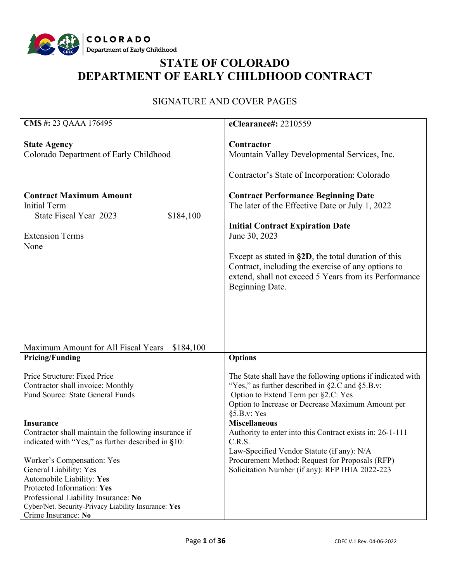

# **STATE OF COLORADO DEPARTMENT OF EARLY CHILDHOOD CONTRACT**

# SIGNATURE AND COVER PAGES

| CMS #: 23 QAAA 176495                                | eClearance#: 2210559                                                |  |  |
|------------------------------------------------------|---------------------------------------------------------------------|--|--|
| <b>State Agency</b>                                  | Contractor                                                          |  |  |
| Colorado Department of Early Childhood               | Mountain Valley Developmental Services, Inc.                        |  |  |
|                                                      |                                                                     |  |  |
|                                                      | Contractor's State of Incorporation: Colorado                       |  |  |
| <b>Contract Maximum Amount</b>                       | <b>Contract Performance Beginning Date</b>                          |  |  |
| <b>Initial Term</b>                                  | The later of the Effective Date or July 1, 2022                     |  |  |
| State Fiscal Year 2023<br>\$184,100                  |                                                                     |  |  |
|                                                      | <b>Initial Contract Expiration Date</b>                             |  |  |
| <b>Extension Terms</b>                               | June 30, 2023                                                       |  |  |
| None                                                 |                                                                     |  |  |
|                                                      | Except as stated in $\S 2D$ , the total duration of this            |  |  |
|                                                      | Contract, including the exercise of any options to                  |  |  |
|                                                      | extend, shall not exceed 5 Years from its Performance               |  |  |
|                                                      | Beginning Date.                                                     |  |  |
|                                                      |                                                                     |  |  |
|                                                      |                                                                     |  |  |
|                                                      |                                                                     |  |  |
|                                                      |                                                                     |  |  |
|                                                      |                                                                     |  |  |
| Maximum Amount for All Fiscal Years<br>\$184,100     |                                                                     |  |  |
| <b>Pricing/Funding</b>                               | <b>Options</b>                                                      |  |  |
|                                                      |                                                                     |  |  |
| Price Structure: Fixed Price                         | The State shall have the following options if indicated with        |  |  |
| Contractor shall invoice: Monthly                    | "Yes," as further described in §2.C and §5.B.v:                     |  |  |
| Fund Source: State General Funds                     | Option to Extend Term per §2.C: Yes                                 |  |  |
|                                                      | Option to Increase or Decrease Maximum Amount per                   |  |  |
|                                                      | §5.B.v: Yes                                                         |  |  |
| <b>Insurance</b>                                     | <b>Miscellaneous</b>                                                |  |  |
| Contractor shall maintain the following insurance if | Authority to enter into this Contract exists in: 26-1-111<br>C.R.S. |  |  |
| indicated with "Yes," as further described in §10:   | Law-Specified Vendor Statute (if any): N/A                          |  |  |
| Worker's Compensation: Yes                           | Procurement Method: Request for Proposals (RFP)                     |  |  |
| General Liability: Yes                               | Solicitation Number (if any): RFP IHIA 2022-223                     |  |  |
| Automobile Liability: Yes                            |                                                                     |  |  |
| Protected Information: Yes                           |                                                                     |  |  |
| Professional Liability Insurance: No                 |                                                                     |  |  |
| Cyber/Net. Security-Privacy Liability Insurance: Yes |                                                                     |  |  |
| Crime Insurance: No                                  |                                                                     |  |  |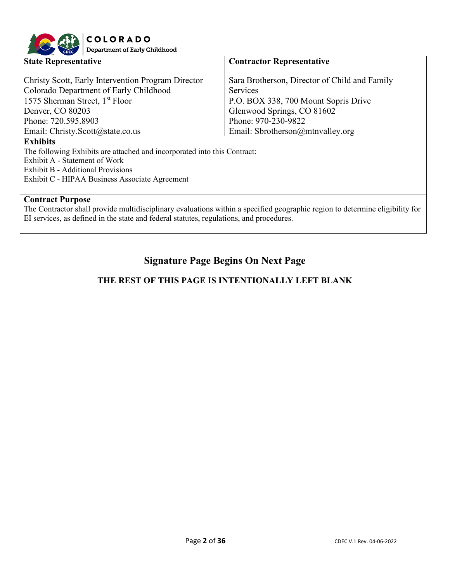

| <b>State Representative</b>                                                                                                                                                                                               | <b>Contractor Representative</b>                                                                                                                                                                  |  |  |  |
|---------------------------------------------------------------------------------------------------------------------------------------------------------------------------------------------------------------------------|---------------------------------------------------------------------------------------------------------------------------------------------------------------------------------------------------|--|--|--|
| Christy Scott, Early Intervention Program Director<br>Colorado Department of Early Childhood<br>1575 Sherman Street, 1 <sup>st</sup> Floor<br>Denver, CO 80203<br>Phone: 720.595.8903<br>Email: Christy.Scott@state.co.us | Sara Brotherson, Director of Child and Family<br><b>Services</b><br>P.O. BOX 338, 700 Mount Sopris Drive<br>Glenwood Springs, CO 81602<br>Phone: 970-230-9822<br>Email: Sbrotherson@mtnvalley.org |  |  |  |
| <b>Exhibits</b>                                                                                                                                                                                                           |                                                                                                                                                                                                   |  |  |  |
| The following Exhibits are attached and incorporated into this Contract:<br>Exhibit A - Statement of Work<br>Exhibit B - Additional Provisions<br>Exhibit C - HIPAA Business Associate Agreement                          |                                                                                                                                                                                                   |  |  |  |
| <b>Contract Purpose</b>                                                                                                                                                                                                   |                                                                                                                                                                                                   |  |  |  |
| The Contractor shall provide multidisciplinary evaluations within a specified geographic region to determine eligibility for                                                                                              |                                                                                                                                                                                                   |  |  |  |
| EI services, as defined in the state and federal statutes, regulations, and procedures.                                                                                                                                   |                                                                                                                                                                                                   |  |  |  |

# **Signature Page Begins On Next Page**

# **THE REST OF THIS PAGE IS INTENTIONALLY LEFT BLANK**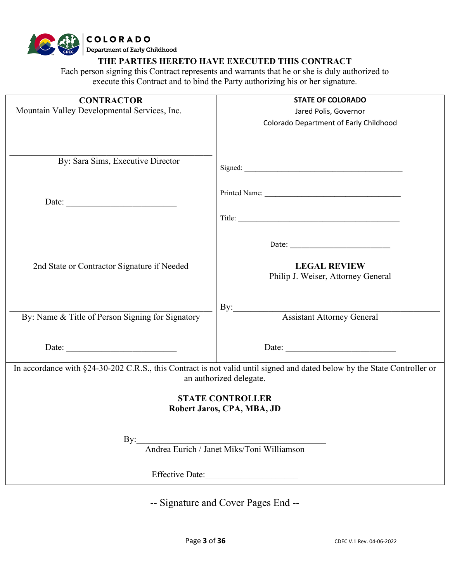# **COLORADO**<br>Department of Early Childhood

**THE PARTIES HERETO HAVE EXECUTED THIS CONTRACT**

Each person signing this Contract represents and warrants that he or she is duly authorized to execute this Contract and to bind the Party authorizing his or her signature.

| <b>CONTRACTOR</b>                                | <b>STATE OF COLORADO</b>                                                                                                 |
|--------------------------------------------------|--------------------------------------------------------------------------------------------------------------------------|
| Mountain Valley Developmental Services, Inc.     | Jared Polis, Governor                                                                                                    |
|                                                  | Colorado Department of Early Childhood                                                                                   |
|                                                  |                                                                                                                          |
|                                                  |                                                                                                                          |
|                                                  |                                                                                                                          |
| By: Sara Sims, Executive Director                |                                                                                                                          |
|                                                  |                                                                                                                          |
|                                                  |                                                                                                                          |
|                                                  |                                                                                                                          |
| Date:                                            |                                                                                                                          |
|                                                  |                                                                                                                          |
|                                                  |                                                                                                                          |
|                                                  |                                                                                                                          |
|                                                  |                                                                                                                          |
|                                                  |                                                                                                                          |
| 2nd State or Contractor Signature if Needed      | <b>LEGAL REVIEW</b>                                                                                                      |
|                                                  | Philip J. Weiser, Attorney General                                                                                       |
|                                                  |                                                                                                                          |
|                                                  |                                                                                                                          |
|                                                  | $\rm By:$                                                                                                                |
| By: Name & Title of Person Signing for Signatory | <b>Assistant Attorney General</b>                                                                                        |
|                                                  |                                                                                                                          |
|                                                  |                                                                                                                          |
| Date:                                            | Date:                                                                                                                    |
|                                                  |                                                                                                                          |
|                                                  | In accordance with §24-30-202 C.R.S., this Contract is not valid until signed and dated below by the State Controller or |
|                                                  | an authorized delegate.                                                                                                  |
|                                                  |                                                                                                                          |
|                                                  | <b>STATE CONTROLLER</b>                                                                                                  |
|                                                  | Robert Jaros, CPA, MBA, JD                                                                                               |
|                                                  |                                                                                                                          |
|                                                  |                                                                                                                          |
| By:                                              | Andrea Eurich / Janet Miks/Toni Williamson                                                                               |
|                                                  |                                                                                                                          |
|                                                  |                                                                                                                          |
|                                                  | Effective Date:                                                                                                          |
|                                                  |                                                                                                                          |

-- Signature and Cover Pages End --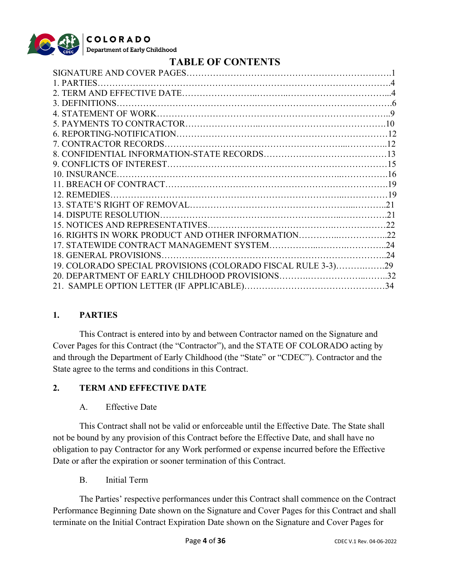

# **TABLE OF CONTENTS**

| 16. RIGHTS IN WORK PRODUCT AND OTHER INFORMATION22           |  |
|--------------------------------------------------------------|--|
|                                                              |  |
|                                                              |  |
| 19. COLORADO SPECIAL PROVISIONS (COLORADO FISCAL RULE 3-3)29 |  |
|                                                              |  |
|                                                              |  |
|                                                              |  |

#### **1. PARTIES**

This Contract is entered into by and between Contractor named on the Signature and Cover Pages for this Contract (the "Contractor"), and the STATE OF COLORADO acting by and through the Department of Early Childhood (the "State" or "CDEC"). Contractor and the State agree to the terms and conditions in this Contract.

#### **2. TERM AND EFFECTIVE DATE**

A. Effective Date

This Contract shall not be valid or enforceable until the Effective Date. The State shall not be bound by any provision of this Contract before the Effective Date, and shall have no obligation to pay Contractor for any Work performed or expense incurred before the Effective Date or after the expiration or sooner termination of this Contract.

B. Initial Term

The Parties' respective performances under this Contract shall commence on the Contract Performance Beginning Date shown on the Signature and Cover Pages for this Contract and shall terminate on the Initial Contract Expiration Date shown on the Signature and Cover Pages for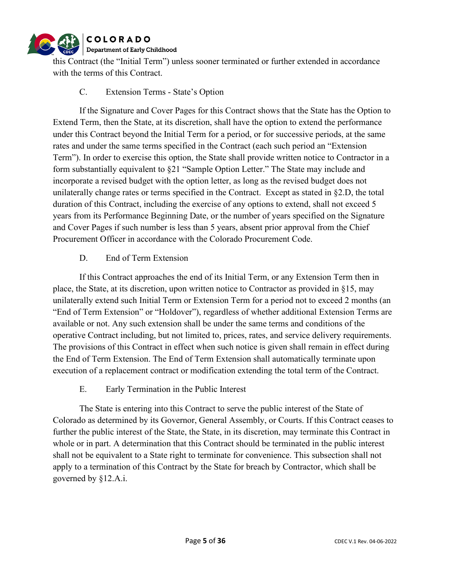

this Contract (the "Initial Term") unless sooner terminated or further extended in accordance with the terms of this Contract.

#### C. Extension Terms - State's Option

If the Signature and Cover Pages for this Contract shows that the State has the Option to Extend Term, then the State, at its discretion, shall have the option to extend the performance under this Contract beyond the Initial Term for a period, or for successive periods, at the same rates and under the same terms specified in the Contract (each such period an "Extension Term"). In order to exercise this option, the State shall provide written notice to Contractor in a form substantially equivalent to §21 "Sample Option Letter." The State may include and incorporate a revised budget with the option letter, as long as the revised budget does not unilaterally change rates or terms specified in the Contract. Except as stated in §2.D, the total duration of this Contract, including the exercise of any options to extend, shall not exceed 5 years from its Performance Beginning Date, or the number of years specified on the Signature and Cover Pages if such number is less than 5 years, absent prior approval from the Chief Procurement Officer in accordance with the Colorado Procurement Code.

#### D. End of Term Extension

If this Contract approaches the end of its Initial Term, or any Extension Term then in place, the State, at its discretion, upon written notice to Contractor as provided in §15, may unilaterally extend such Initial Term or Extension Term for a period not to exceed 2 months (an "End of Term Extension" or "Holdover"), regardless of whether additional Extension Terms are available or not. Any such extension shall be under the same terms and conditions of the operative Contract including, but not limited to, prices, rates, and service delivery requirements. The provisions of this Contract in effect when such notice is given shall remain in effect during the End of Term Extension. The End of Term Extension shall automatically terminate upon execution of a replacement contract or modification extending the total term of the Contract.

#### E. Early Termination in the Public Interest

The State is entering into this Contract to serve the public interest of the State of Colorado as determined by its Governor, General Assembly, or Courts. If this Contract ceases to further the public interest of the State, the State, in its discretion, may terminate this Contract in whole or in part. A determination that this Contract should be terminated in the public interest shall not be equivalent to a State right to terminate for convenience. This subsection shall not apply to a termination of this Contract by the State for breach by Contractor, which shall be governed by §12.A.i.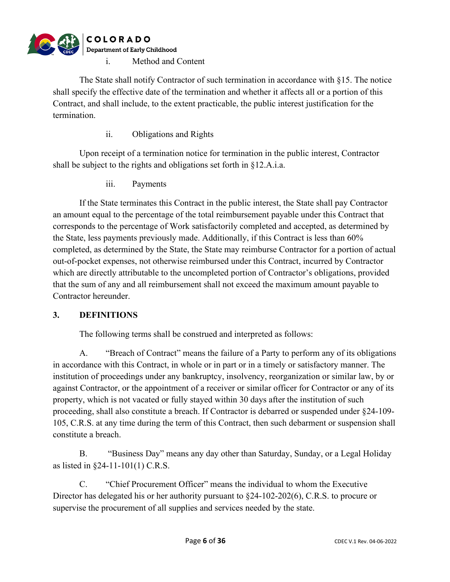

The State shall notify Contractor of such termination in accordance with §15. The notice shall specify the effective date of the termination and whether it affects all or a portion of this Contract, and shall include, to the extent practicable, the public interest justification for the termination.

ii. Obligations and Rights

Upon receipt of a termination notice for termination in the public interest, Contractor shall be subject to the rights and obligations set forth in §12.A.i.a.

iii. Payments

If the State terminates this Contract in the public interest, the State shall pay Contractor an amount equal to the percentage of the total reimbursement payable under this Contract that corresponds to the percentage of Work satisfactorily completed and accepted, as determined by the State, less payments previously made. Additionally, if this Contract is less than 60% completed, as determined by the State, the State may reimburse Contractor for a portion of actual out-of-pocket expenses, not otherwise reimbursed under this Contract, incurred by Contractor which are directly attributable to the uncompleted portion of Contractor's obligations, provided that the sum of any and all reimbursement shall not exceed the maximum amount payable to Contractor hereunder.

#### **3. DEFINITIONS**

The following terms shall be construed and interpreted as follows:

A. "Breach of Contract" means the failure of a Party to perform any of its obligations in accordance with this Contract, in whole or in part or in a timely or satisfactory manner. The institution of proceedings under any bankruptcy, insolvency, reorganization or similar law, by or against Contractor, or the appointment of a receiver or similar officer for Contractor or any of its property, which is not vacated or fully stayed within 30 days after the institution of such proceeding, shall also constitute a breach. If Contractor is debarred or suspended under §24-109- 105, C.R.S. at any time during the term of this Contract, then such debarment or suspension shall constitute a breach.

B. "Business Day" means any day other than Saturday, Sunday, or a Legal Holiday as listed in §24-11-101(1) C.R.S.

C. "Chief Procurement Officer" means the individual to whom the Executive Director has delegated his or her authority pursuant to  $\S24-102-202(6)$ , C.R.S. to procure or supervise the procurement of all supplies and services needed by the state.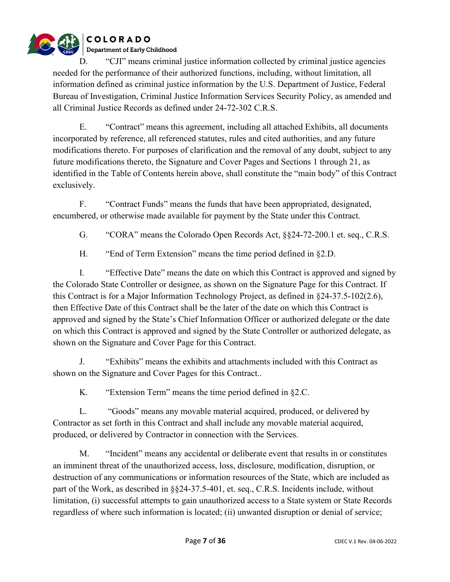

D. "CJI" means criminal justice information collected by criminal justice agencies needed for the performance of their authorized functions, including, without limitation, all information defined as criminal justice information by the U.S. Department of Justice, Federal Bureau of Investigation, Criminal Justice Information Services Security Policy, as amended and all Criminal Justice Records as defined under 24-72-302 C.R.S.

E. "Contract" means this agreement, including all attached Exhibits, all documents incorporated by reference, all referenced statutes, rules and cited authorities, and any future modifications thereto. For purposes of clarification and the removal of any doubt, subject to any future modifications thereto, the Signature and Cover Pages and Sections 1 through 21, as identified in the Table of Contents herein above, shall constitute the "main body" of this Contract exclusively.

F. "Contract Funds" means the funds that have been appropriated, designated, encumbered, or otherwise made available for payment by the State under this Contract.

G. "CORA" means the Colorado Open Records Act, §§24-72-200.1 et. seq., C.R.S.

H. "End of Term Extension" means the time period defined in §2.D.

I. "Effective Date" means the date on which this Contract is approved and signed by the Colorado State Controller or designee, as shown on the Signature Page for this Contract. If this Contract is for a Major Information Technology Project, as defined in §24-37.5-102(2.6), then Effective Date of this Contract shall be the later of the date on which this Contract is approved and signed by the State's Chief Information Officer or authorized delegate or the date on which this Contract is approved and signed by the State Controller or authorized delegate, as shown on the Signature and Cover Page for this Contract.

J. "Exhibits" means the exhibits and attachments included with this Contract as shown on the Signature and Cover Pages for this Contract..

K. "Extension Term" means the time period defined in §2.C.

L. "Goods" means any movable material acquired, produced, or delivered by Contractor as set forth in this Contract and shall include any movable material acquired, produced, or delivered by Contractor in connection with the Services.

M. "Incident" means any accidental or deliberate event that results in or constitutes an imminent threat of the unauthorized access, loss, disclosure, modification, disruption, or destruction of any communications or information resources of the State, which are included as part of the Work, as described in §§24-37.5-401, et. seq., C.R.S. Incidents include, without limitation, (i) successful attempts to gain unauthorized access to a State system or State Records regardless of where such information is located; (ii) unwanted disruption or denial of service;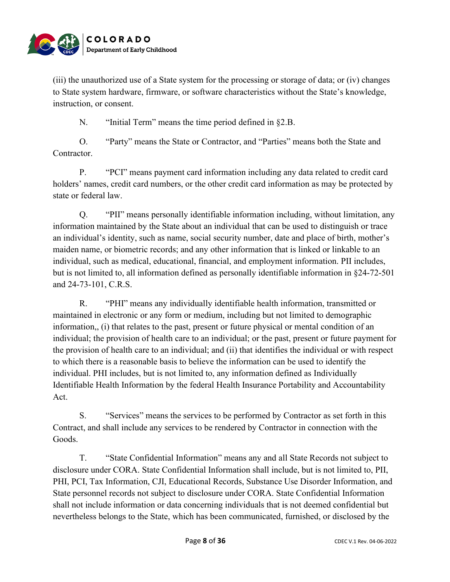

(iii) the unauthorized use of a State system for the processing or storage of data; or (iv) changes to State system hardware, firmware, or software characteristics without the State's knowledge, instruction, or consent.

N. "Initial Term" means the time period defined in §2.B.

O. "Party" means the State or Contractor, and "Parties" means both the State and Contractor.

P. "PCI" means payment card information including any data related to credit card holders' names, credit card numbers, or the other credit card information as may be protected by state or federal law.

Q. "PII" means personally identifiable information including, without limitation, any information maintained by the State about an individual that can be used to distinguish or trace an individual's identity, such as name, social security number, date and place of birth, mother's maiden name, or biometric records; and any other information that is linked or linkable to an individual, such as medical, educational, financial, and employment information. PII includes, but is not limited to, all information defined as personally identifiable information in §24-72-501 and 24-73-101, C.R.S.

R. "PHI" means any individually identifiable health information, transmitted or maintained in electronic or any form or medium, including but not limited to demographic information,, (i) that relates to the past, present or future physical or mental condition of an individual; the provision of health care to an individual; or the past, present or future payment for the provision of health care to an individual; and (ii) that identifies the individual or with respect to which there is a reasonable basis to believe the information can be used to identify the individual. PHI includes, but is not limited to, any information defined as Individually Identifiable Health Information by the federal Health Insurance Portability and Accountability Act.

S. "Services" means the services to be performed by Contractor as set forth in this Contract, and shall include any services to be rendered by Contractor in connection with the Goods.

T. "State Confidential Information" means any and all State Records not subject to disclosure under CORA. State Confidential Information shall include, but is not limited to, PII, PHI, PCI, Tax Information, CJI, Educational Records, Substance Use Disorder Information, and State personnel records not subject to disclosure under CORA. State Confidential Information shall not include information or data concerning individuals that is not deemed confidential but nevertheless belongs to the State, which has been communicated, furnished, or disclosed by the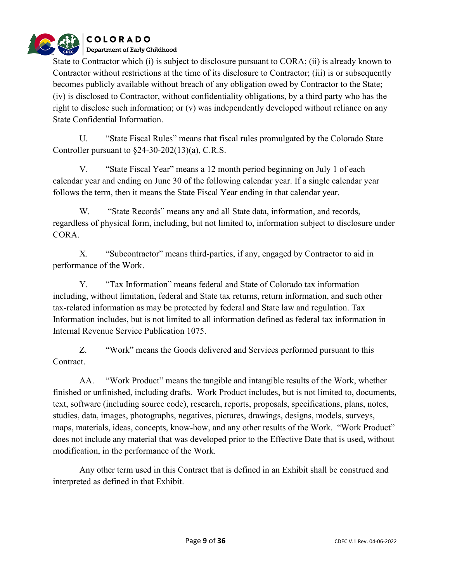

State to Contractor which (i) is subject to disclosure pursuant to CORA; (ii) is already known to Contractor without restrictions at the time of its disclosure to Contractor; (iii) is or subsequently becomes publicly available without breach of any obligation owed by Contractor to the State; (iv) is disclosed to Contractor, without confidentiality obligations, by a third party who has the right to disclose such information; or (v) was independently developed without reliance on any State Confidential Information.

U. "State Fiscal Rules" means that fiscal rules promulgated by the Colorado State Controller pursuant to §24-30-202(13)(a), C.R.S.

V. "State Fiscal Year" means a 12 month period beginning on July 1 of each calendar year and ending on June 30 of the following calendar year. If a single calendar year follows the term, then it means the State Fiscal Year ending in that calendar year.

W. "State Records" means any and all State data, information, and records, regardless of physical form, including, but not limited to, information subject to disclosure under CORA.

X. "Subcontractor" means third-parties, if any, engaged by Contractor to aid in performance of the Work.

Y. "Tax Information" means federal and State of Colorado tax information including, without limitation, federal and State tax returns, return information, and such other tax-related information as may be protected by federal and State law and regulation. Tax Information includes, but is not limited to all information defined as federal tax information in Internal Revenue Service Publication 1075.

Z. "Work" means the Goods delivered and Services performed pursuant to this Contract.

AA. "Work Product" means the tangible and intangible results of the Work, whether finished or unfinished, including drafts. Work Product includes, but is not limited to, documents, text, software (including source code), research, reports, proposals, specifications, plans, notes, studies, data, images, photographs, negatives, pictures, drawings, designs, models, surveys, maps, materials, ideas, concepts, know-how, and any other results of the Work. "Work Product" does not include any material that was developed prior to the Effective Date that is used, without modification, in the performance of the Work.

Any other term used in this Contract that is defined in an Exhibit shall be construed and interpreted as defined in that Exhibit.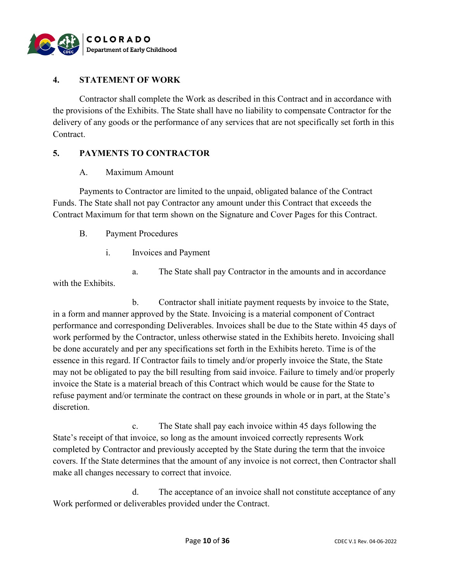

#### **4. STATEMENT OF WORK**

Contractor shall complete the Work as described in this Contract and in accordance with the provisions of the Exhibits. The State shall have no liability to compensate Contractor for the delivery of any goods or the performance of any services that are not specifically set forth in this Contract.

#### **5. PAYMENTS TO CONTRACTOR**

#### A. Maximum Amount

Payments to Contractor are limited to the unpaid, obligated balance of the Contract Funds. The State shall not pay Contractor any amount under this Contract that exceeds the Contract Maximum for that term shown on the Signature and Cover Pages for this Contract.

- B. Payment Procedures
	- i. Invoices and Payment

a. The State shall pay Contractor in the amounts and in accordance with the Exhibits.

b. Contractor shall initiate payment requests by invoice to the State, in a form and manner approved by the State. Invoicing is a material component of Contract performance and corresponding Deliverables. Invoices shall be due to the State within 45 days of work performed by the Contractor, unless otherwise stated in the Exhibits hereto. Invoicing shall be done accurately and per any specifications set forth in the Exhibits hereto. Time is of the essence in this regard. If Contractor fails to timely and/or properly invoice the State, the State may not be obligated to pay the bill resulting from said invoice. Failure to timely and/or properly invoice the State is a material breach of this Contract which would be cause for the State to refuse payment and/or terminate the contract on these grounds in whole or in part, at the State's discretion.

c. The State shall pay each invoice within 45 days following the State's receipt of that invoice, so long as the amount invoiced correctly represents Work completed by Contractor and previously accepted by the State during the term that the invoice covers. If the State determines that the amount of any invoice is not correct, then Contractor shall make all changes necessary to correct that invoice.

d. The acceptance of an invoice shall not constitute acceptance of any Work performed or deliverables provided under the Contract.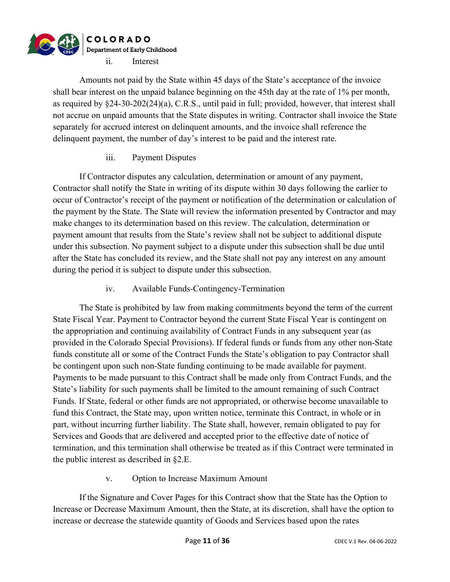

Amounts not paid by the State within 45 days of the State's acceptance of the invoice shall bear interest on the unpaid balance beginning on the 45th day at the rate of 1% per month, as required by §24-30-202(24)(a), C.R.S., until paid in full; provided, however, that interest shall not accrue on unpaid amounts that the State disputes in writing. Contractor shall invoice the State separately for accrued interest on delinquent amounts, and the invoice shall reference the delinquent payment, the number of day's interest to be paid and the interest rate.

#### iii. Payment Disputes

If Contractor disputes any calculation, determination or amount of any payment, Contractor shall notify the State in writing of its dispute within 30 days following the earlier to occur of Contractor's receipt of the payment or notification of the determination or calculation of the payment by the State. The State will review the information presented by Contractor and may make changes to its determination based on this review. The calculation, determination or payment amount that results from the State's review shall not be subject to additional dispute under this subsection. No payment subject to a dispute under this subsection shall be due until after the State has concluded its review, and the State shall not pay any interest on any amount during the period it is subject to dispute under this subsection.

iv. Available Funds-Contingency-Termination

The State is prohibited by law from making commitments beyond the term of the current State Fiscal Year. Payment to Contractor beyond the current State Fiscal Year is contingent on the appropriation and continuing availability of Contract Funds in any subsequent year (as provided in the Colorado Special Provisions). If federal funds or funds from any other non-State funds constitute all or some of the Contract Funds the State's obligation to pay Contractor shall be contingent upon such non-State funding continuing to be made available for payment. Payments to be made pursuant to this Contract shall be made only from Contract Funds, and the State's liability for such payments shall be limited to the amount remaining of such Contract Funds. If State, federal or other funds are not appropriated, or otherwise become unavailable to fund this Contract, the State may, upon written notice, terminate this Contract, in whole or in part, without incurring further liability. The State shall, however, remain obligated to pay for Services and Goods that are delivered and accepted prior to the effective date of notice of termination, and this termination shall otherwise be treated as if this Contract were terminated in the public interest as described in §2.E.

#### v. Option to Increase Maximum Amount

If the Signature and Cover Pages for this Contract show that the State has the Option to Increase or Decrease Maximum Amount, then the State, at its discretion, shall have the option to increase or decrease the statewide quantity of Goods and Services based upon the rates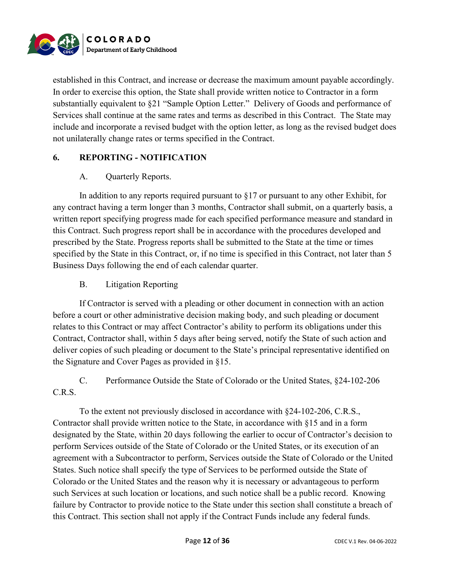

established in this Contract, and increase or decrease the maximum amount payable accordingly. In order to exercise this option, the State shall provide written notice to Contractor in a form substantially equivalent to §21 "Sample Option Letter." Delivery of Goods and performance of Services shall continue at the same rates and terms as described in this Contract. The State may include and incorporate a revised budget with the option letter, as long as the revised budget does not unilaterally change rates or terms specified in the Contract.

### **6. REPORTING - NOTIFICATION**

#### A. Quarterly Reports.

In addition to any reports required pursuant to  $\S17$  or pursuant to any other Exhibit, for any contract having a term longer than 3 months, Contractor shall submit, on a quarterly basis, a written report specifying progress made for each specified performance measure and standard in this Contract. Such progress report shall be in accordance with the procedures developed and prescribed by the State. Progress reports shall be submitted to the State at the time or times specified by the State in this Contract, or, if no time is specified in this Contract, not later than 5 Business Days following the end of each calendar quarter.

### B. Litigation Reporting

If Contractor is served with a pleading or other document in connection with an action before a court or other administrative decision making body, and such pleading or document relates to this Contract or may affect Contractor's ability to perform its obligations under this Contract, Contractor shall, within 5 days after being served, notify the State of such action and deliver copies of such pleading or document to the State's principal representative identified on the Signature and Cover Pages as provided in §15.

C. Performance Outside the State of Colorado or the United States, §24-102-206 C.R.S.

To the extent not previously disclosed in accordance with §24-102-206, C.R.S., Contractor shall provide written notice to the State, in accordance with §15 and in a form designated by the State, within 20 days following the earlier to occur of Contractor's decision to perform Services outside of the State of Colorado or the United States, or its execution of an agreement with a Subcontractor to perform, Services outside the State of Colorado or the United States. Such notice shall specify the type of Services to be performed outside the State of Colorado or the United States and the reason why it is necessary or advantageous to perform such Services at such location or locations, and such notice shall be a public record. Knowing failure by Contractor to provide notice to the State under this section shall constitute a breach of this Contract. This section shall not apply if the Contract Funds include any federal funds.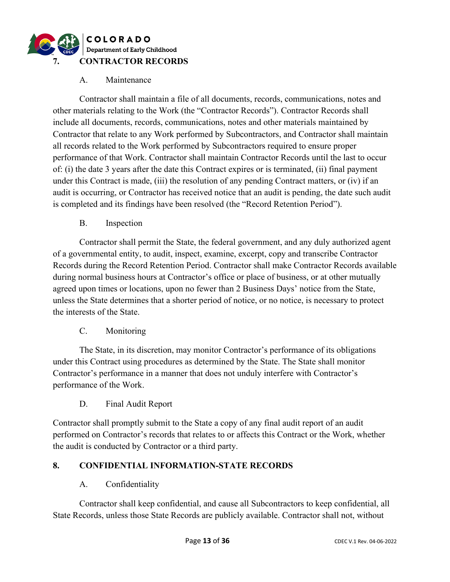

#### A. Maintenance

Contractor shall maintain a file of all documents, records, communications, notes and other materials relating to the Work (the "Contractor Records"). Contractor Records shall include all documents, records, communications, notes and other materials maintained by Contractor that relate to any Work performed by Subcontractors, and Contractor shall maintain all records related to the Work performed by Subcontractors required to ensure proper performance of that Work. Contractor shall maintain Contractor Records until the last to occur of: (i) the date 3 years after the date this Contract expires or is terminated, (ii) final payment under this Contract is made, (iii) the resolution of any pending Contract matters, or (iv) if an audit is occurring, or Contractor has received notice that an audit is pending, the date such audit is completed and its findings have been resolved (the "Record Retention Period").

B. Inspection

Contractor shall permit the State, the federal government, and any duly authorized agent of a governmental entity, to audit, inspect, examine, excerpt, copy and transcribe Contractor Records during the Record Retention Period. Contractor shall make Contractor Records available during normal business hours at Contractor's office or place of business, or at other mutually agreed upon times or locations, upon no fewer than 2 Business Days' notice from the State, unless the State determines that a shorter period of notice, or no notice, is necessary to protect the interests of the State.

#### C. Monitoring

The State, in its discretion, may monitor Contractor's performance of its obligations under this Contract using procedures as determined by the State. The State shall monitor Contractor's performance in a manner that does not unduly interfere with Contractor's performance of the Work.

#### D. Final Audit Report

Contractor shall promptly submit to the State a copy of any final audit report of an audit performed on Contractor's records that relates to or affects this Contract or the Work, whether the audit is conducted by Contractor or a third party.

#### **8. CONFIDENTIAL INFORMATION-STATE RECORDS**

#### A. Confidentiality

Contractor shall keep confidential, and cause all Subcontractors to keep confidential, all State Records, unless those State Records are publicly available. Contractor shall not, without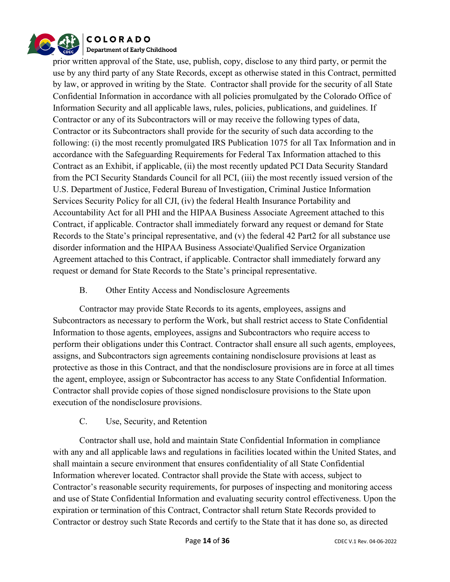

prior written approval of the State, use, publish, copy, disclose to any third party, or permit the use by any third party of any State Records, except as otherwise stated in this Contract, permitted by law, or approved in writing by the State. Contractor shall provide for the security of all State Confidential Information in accordance with all policies promulgated by the Colorado Office of Information Security and all applicable laws, rules, policies, publications, and guidelines. If Contractor or any of its Subcontractors will or may receive the following types of data, Contractor or its Subcontractors shall provide for the security of such data according to the following: (i) the most recently promulgated IRS Publication 1075 for all Tax Information and in accordance with the Safeguarding Requirements for Federal Tax Information attached to this Contract as an Exhibit, if applicable, (ii) the most recently updated PCI Data Security Standard from the PCI Security Standards Council for all PCI, (iii) the most recently issued version of the U.S. Department of Justice, Federal Bureau of Investigation, Criminal Justice Information Services Security Policy for all CJI, (iv) the federal Health Insurance Portability and Accountability Act for all PHI and the HIPAA Business Associate Agreement attached to this Contract, if applicable. Contractor shall immediately forward any request or demand for State Records to the State's principal representative, and (v) the federal 42 Part2 for all substance use disorder information and the HIPAA Business Associate\Qualified Service Organization Agreement attached to this Contract, if applicable. Contractor shall immediately forward any request or demand for State Records to the State's principal representative.

#### B. Other Entity Access and Nondisclosure Agreements

Contractor may provide State Records to its agents, employees, assigns and Subcontractors as necessary to perform the Work, but shall restrict access to State Confidential Information to those agents, employees, assigns and Subcontractors who require access to perform their obligations under this Contract. Contractor shall ensure all such agents, employees, assigns, and Subcontractors sign agreements containing nondisclosure provisions at least as protective as those in this Contract, and that the nondisclosure provisions are in force at all times the agent, employee, assign or Subcontractor has access to any State Confidential Information. Contractor shall provide copies of those signed nondisclosure provisions to the State upon execution of the nondisclosure provisions.

#### C. Use, Security, and Retention

Contractor shall use, hold and maintain State Confidential Information in compliance with any and all applicable laws and regulations in facilities located within the United States, and shall maintain a secure environment that ensures confidentiality of all State Confidential Information wherever located. Contractor shall provide the State with access, subject to Contractor's reasonable security requirements, for purposes of inspecting and monitoring access and use of State Confidential Information and evaluating security control effectiveness. Upon the expiration or termination of this Contract, Contractor shall return State Records provided to Contractor or destroy such State Records and certify to the State that it has done so, as directed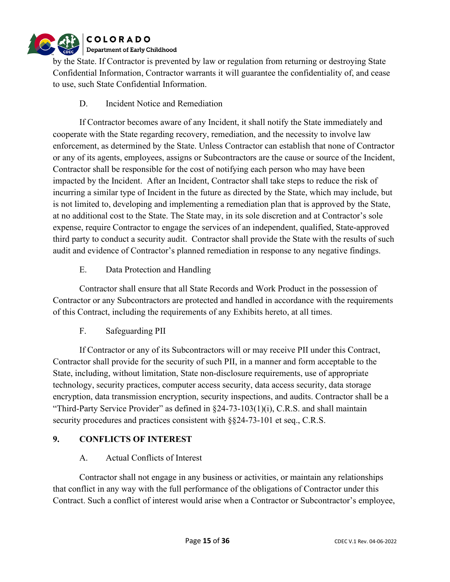

by the State. If Contractor is prevented by law or regulation from returning or destroying State Confidential Information, Contractor warrants it will guarantee the confidentiality of, and cease to use, such State Confidential Information.

D. Incident Notice and Remediation

If Contractor becomes aware of any Incident, it shall notify the State immediately and cooperate with the State regarding recovery, remediation, and the necessity to involve law enforcement, as determined by the State. Unless Contractor can establish that none of Contractor or any of its agents, employees, assigns or Subcontractors are the cause or source of the Incident, Contractor shall be responsible for the cost of notifying each person who may have been impacted by the Incident. After an Incident, Contractor shall take steps to reduce the risk of incurring a similar type of Incident in the future as directed by the State, which may include, but is not limited to, developing and implementing a remediation plan that is approved by the State, at no additional cost to the State. The State may, in its sole discretion and at Contractor's sole expense, require Contractor to engage the services of an independent, qualified, State-approved third party to conduct a security audit. Contractor shall provide the State with the results of such audit and evidence of Contractor's planned remediation in response to any negative findings.

E. Data Protection and Handling

Contractor shall ensure that all State Records and Work Product in the possession of Contractor or any Subcontractors are protected and handled in accordance with the requirements of this Contract, including the requirements of any Exhibits hereto, at all times.

F. Safeguarding PII

If Contractor or any of its Subcontractors will or may receive PII under this Contract, Contractor shall provide for the security of such PII, in a manner and form acceptable to the State, including, without limitation, State non-disclosure requirements, use of appropriate technology, security practices, computer access security, data access security, data storage encryption, data transmission encryption, security inspections, and audits. Contractor shall be a "Third-Party Service Provider" as defined in §24-73-103(1)(i), C.R.S. and shall maintain security procedures and practices consistent with  $\S$ §24-73-101 et seq., C.R.S.

## **9. CONFLICTS OF INTEREST**

#### A. Actual Conflicts of Interest

Contractor shall not engage in any business or activities, or maintain any relationships that conflict in any way with the full performance of the obligations of Contractor under this Contract. Such a conflict of interest would arise when a Contractor or Subcontractor's employee,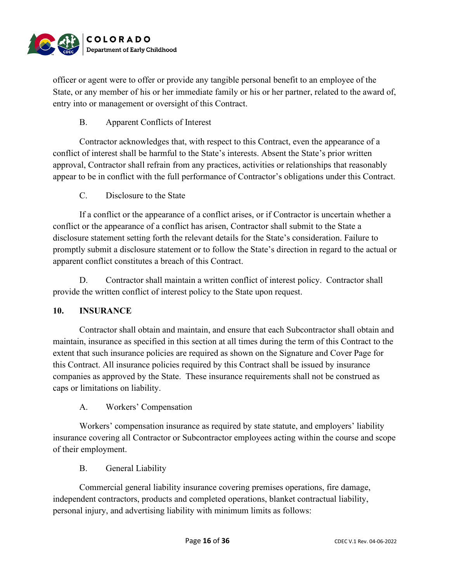

officer or agent were to offer or provide any tangible personal benefit to an employee of the State, or any member of his or her immediate family or his or her partner, related to the award of, entry into or management or oversight of this Contract.

#### B. Apparent Conflicts of Interest

Contractor acknowledges that, with respect to this Contract, even the appearance of a conflict of interest shall be harmful to the State's interests. Absent the State's prior written approval, Contractor shall refrain from any practices, activities or relationships that reasonably appear to be in conflict with the full performance of Contractor's obligations under this Contract.

#### C. Disclosure to the State

If a conflict or the appearance of a conflict arises, or if Contractor is uncertain whether a conflict or the appearance of a conflict has arisen, Contractor shall submit to the State a disclosure statement setting forth the relevant details for the State's consideration. Failure to promptly submit a disclosure statement or to follow the State's direction in regard to the actual or apparent conflict constitutes a breach of this Contract.

D. Contractor shall maintain a written conflict of interest policy. Contractor shall provide the written conflict of interest policy to the State upon request.

#### **10. INSURANCE**

Contractor shall obtain and maintain, and ensure that each Subcontractor shall obtain and maintain, insurance as specified in this section at all times during the term of this Contract to the extent that such insurance policies are required as shown on the Signature and Cover Page for this Contract. All insurance policies required by this Contract shall be issued by insurance companies as approved by the State. These insurance requirements shall not be construed as caps or limitations on liability.

#### A. Workers' Compensation

Workers' compensation insurance as required by state statute, and employers' liability insurance covering all Contractor or Subcontractor employees acting within the course and scope of their employment.

#### B. General Liability

Commercial general liability insurance covering premises operations, fire damage, independent contractors, products and completed operations, blanket contractual liability, personal injury, and advertising liability with minimum limits as follows: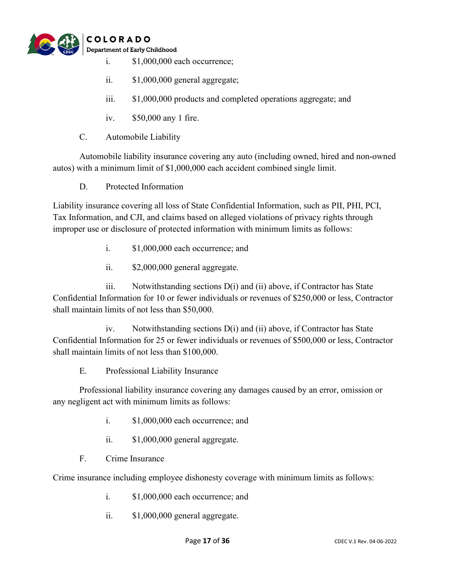

- i. \$1,000,000 each occurrence;
- ii. \$1,000,000 general aggregate;
- iii. \$1,000,000 products and completed operations aggregate; and
- iv. \$50,000 any 1 fire.
- C. Automobile Liability

Automobile liability insurance covering any auto (including owned, hired and non-owned autos) with a minimum limit of \$1,000,000 each accident combined single limit.

D. Protected Information

Liability insurance covering all loss of State Confidential Information, such as PII, PHI, PCI, Tax Information, and CJI, and claims based on alleged violations of privacy rights through improper use or disclosure of protected information with minimum limits as follows:

- i. \$1,000,000 each occurrence; and
- ii. \$2,000,000 general aggregate.

iii. Notwithstanding sections D(i) and (ii) above, if Contractor has State Confidential Information for 10 or fewer individuals or revenues of \$250,000 or less, Contractor shall maintain limits of not less than \$50,000.

iv. Notwithstanding sections D(i) and (ii) above, if Contractor has State Confidential Information for 25 or fewer individuals or revenues of \$500,000 or less, Contractor shall maintain limits of not less than \$100,000.

E. Professional Liability Insurance

Professional liability insurance covering any damages caused by an error, omission or any negligent act with minimum limits as follows:

- i. \$1,000,000 each occurrence; and
- ii. \$1,000,000 general aggregate.
- F. Crime Insurance

Crime insurance including employee dishonesty coverage with minimum limits as follows:

- i. \$1,000,000 each occurrence; and
- ii. \$1,000,000 general aggregate.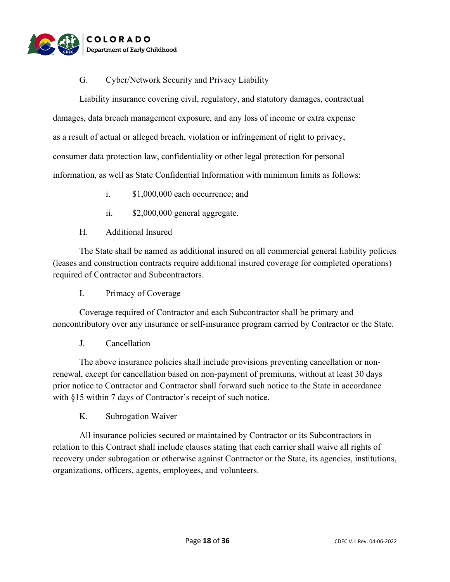

#### G. Cyber/Network Security and Privacy Liability

Liability insurance covering civil, regulatory, and statutory damages, contractual damages, data breach management exposure, and any loss of income or extra expense as a result of actual or alleged breach, violation or infringement of right to privacy, consumer data protection law, confidentiality or other legal protection for personal information, as well as State Confidential Information with minimum limits as follows:

- i. \$1,000,000 each occurrence; and
- ii. \$2,000,000 general aggregate.
- H. Additional Insured

The State shall be named as additional insured on all commercial general liability policies (leases and construction contracts require additional insured coverage for completed operations) required of Contractor and Subcontractors.

I. Primacy of Coverage

Coverage required of Contractor and each Subcontractor shall be primary and noncontributory over any insurance or self-insurance program carried by Contractor or the State.

J. Cancellation

The above insurance policies shall include provisions preventing cancellation or nonrenewal, except for cancellation based on non-payment of premiums, without at least 30 days prior notice to Contractor and Contractor shall forward such notice to the State in accordance with §15 within 7 days of Contractor's receipt of such notice.

K. Subrogation Waiver

All insurance policies secured or maintained by Contractor or its Subcontractors in relation to this Contract shall include clauses stating that each carrier shall waive all rights of recovery under subrogation or otherwise against Contractor or the State, its agencies, institutions, organizations, officers, agents, employees, and volunteers.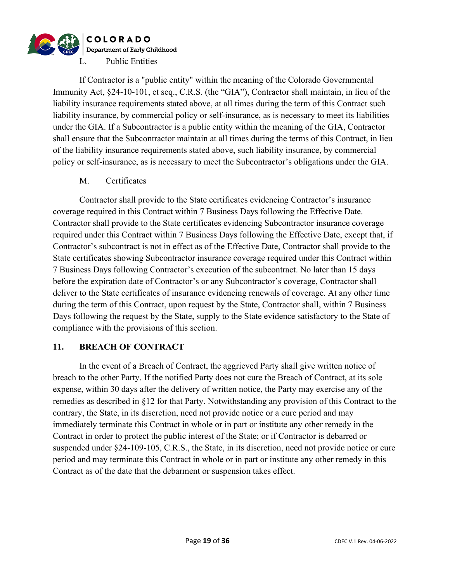

If Contractor is a "public entity" within the meaning of the Colorado Governmental Immunity Act, §24-10-101, et seq., C.R.S. (the "GIA"), Contractor shall maintain, in lieu of the liability insurance requirements stated above, at all times during the term of this Contract such liability insurance, by commercial policy or self-insurance, as is necessary to meet its liabilities under the GIA. If a Subcontractor is a public entity within the meaning of the GIA, Contractor shall ensure that the Subcontractor maintain at all times during the terms of this Contract, in lieu of the liability insurance requirements stated above, such liability insurance, by commercial policy or self-insurance, as is necessary to meet the Subcontractor's obligations under the GIA.

#### M. Certificates

Contractor shall provide to the State certificates evidencing Contractor's insurance coverage required in this Contract within 7 Business Days following the Effective Date. Contractor shall provide to the State certificates evidencing Subcontractor insurance coverage required under this Contract within 7 Business Days following the Effective Date, except that, if Contractor's subcontract is not in effect as of the Effective Date, Contractor shall provide to the State certificates showing Subcontractor insurance coverage required under this Contract within 7 Business Days following Contractor's execution of the subcontract. No later than 15 days before the expiration date of Contractor's or any Subcontractor's coverage, Contractor shall deliver to the State certificates of insurance evidencing renewals of coverage. At any other time during the term of this Contract, upon request by the State, Contractor shall, within 7 Business Days following the request by the State, supply to the State evidence satisfactory to the State of compliance with the provisions of this section.

#### **11. BREACH OF CONTRACT**

In the event of a Breach of Contract, the aggrieved Party shall give written notice of breach to the other Party. If the notified Party does not cure the Breach of Contract, at its sole expense, within 30 days after the delivery of written notice, the Party may exercise any of the remedies as described in §12 for that Party. Notwithstanding any provision of this Contract to the contrary, the State, in its discretion, need not provide notice or a cure period and may immediately terminate this Contract in whole or in part or institute any other remedy in the Contract in order to protect the public interest of the State; or if Contractor is debarred or suspended under §24-109-105, C.R.S., the State, in its discretion, need not provide notice or cure period and may terminate this Contract in whole or in part or institute any other remedy in this Contract as of the date that the debarment or suspension takes effect.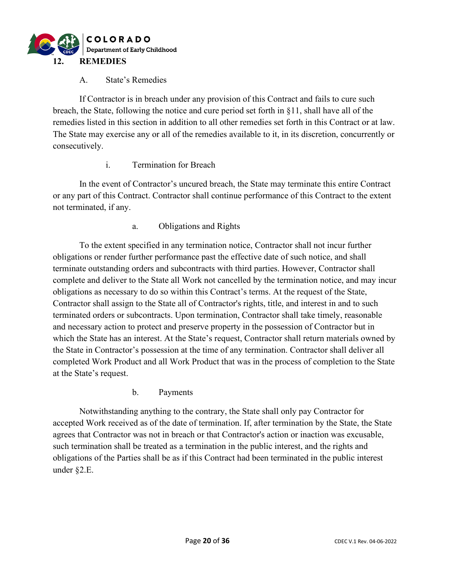

#### A. State's Remedies

If Contractor is in breach under any provision of this Contract and fails to cure such breach, the State, following the notice and cure period set forth in §11, shall have all of the remedies listed in this section in addition to all other remedies set forth in this Contract or at law. The State may exercise any or all of the remedies available to it, in its discretion, concurrently or consecutively.

#### i. Termination for Breach

In the event of Contractor's uncured breach, the State may terminate this entire Contract or any part of this Contract. Contractor shall continue performance of this Contract to the extent not terminated, if any.

a. Obligations and Rights

To the extent specified in any termination notice, Contractor shall not incur further obligations or render further performance past the effective date of such notice, and shall terminate outstanding orders and subcontracts with third parties. However, Contractor shall complete and deliver to the State all Work not cancelled by the termination notice, and may incur obligations as necessary to do so within this Contract's terms. At the request of the State, Contractor shall assign to the State all of Contractor's rights, title, and interest in and to such terminated orders or subcontracts. Upon termination, Contractor shall take timely, reasonable and necessary action to protect and preserve property in the possession of Contractor but in which the State has an interest. At the State's request, Contractor shall return materials owned by the State in Contractor's possession at the time of any termination. Contractor shall deliver all completed Work Product and all Work Product that was in the process of completion to the State at the State's request.

b. Payments

Notwithstanding anything to the contrary, the State shall only pay Contractor for accepted Work received as of the date of termination. If, after termination by the State, the State agrees that Contractor was not in breach or that Contractor's action or inaction was excusable, such termination shall be treated as a termination in the public interest, and the rights and obligations of the Parties shall be as if this Contract had been terminated in the public interest under §2.E.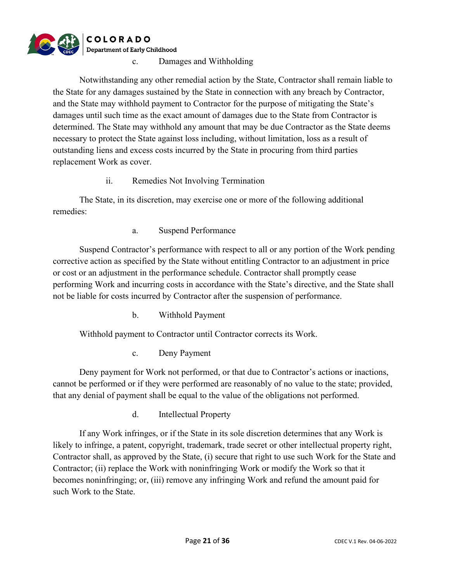

Damages and Withholding

Notwithstanding any other remedial action by the State, Contractor shall remain liable to the State for any damages sustained by the State in connection with any breach by Contractor, and the State may withhold payment to Contractor for the purpose of mitigating the State's damages until such time as the exact amount of damages due to the State from Contractor is determined. The State may withhold any amount that may be due Contractor as the State deems necessary to protect the State against loss including, without limitation, loss as a result of outstanding liens and excess costs incurred by the State in procuring from third parties replacement Work as cover.

#### ii. Remedies Not Involving Termination

The State, in its discretion, may exercise one or more of the following additional remedies:

a. Suspend Performance

Suspend Contractor's performance with respect to all or any portion of the Work pending corrective action as specified by the State without entitling Contractor to an adjustment in price or cost or an adjustment in the performance schedule. Contractor shall promptly cease performing Work and incurring costs in accordance with the State's directive, and the State shall not be liable for costs incurred by Contractor after the suspension of performance.

b. Withhold Payment

Withhold payment to Contractor until Contractor corrects its Work.

c. Deny Payment

Deny payment for Work not performed, or that due to Contractor's actions or inactions, cannot be performed or if they were performed are reasonably of no value to the state; provided, that any denial of payment shall be equal to the value of the obligations not performed.

d. Intellectual Property

If any Work infringes, or if the State in its sole discretion determines that any Work is likely to infringe, a patent, copyright, trademark, trade secret or other intellectual property right, Contractor shall, as approved by the State, (i) secure that right to use such Work for the State and Contractor; (ii) replace the Work with noninfringing Work or modify the Work so that it becomes noninfringing; or, (iii) remove any infringing Work and refund the amount paid for such Work to the State.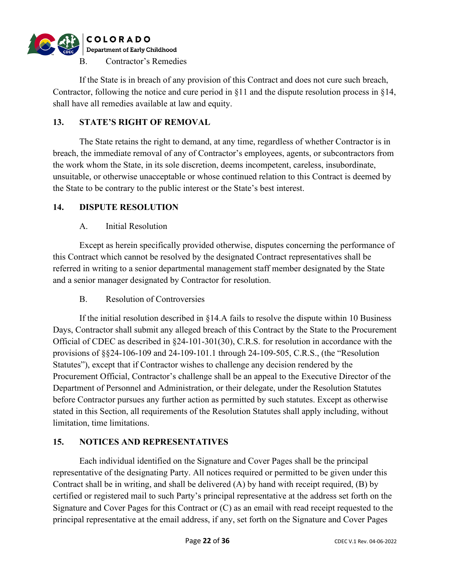

If the State is in breach of any provision of this Contract and does not cure such breach, Contractor, following the notice and cure period in  $\S11$  and the dispute resolution process in  $\S14$ , shall have all remedies available at law and equity.

#### **13. STATE'S RIGHT OF REMOVAL**

The State retains the right to demand, at any time, regardless of whether Contractor is in breach, the immediate removal of any of Contractor's employees, agents, or subcontractors from the work whom the State, in its sole discretion, deems incompetent, careless, insubordinate, unsuitable, or otherwise unacceptable or whose continued relation to this Contract is deemed by the State to be contrary to the public interest or the State's best interest.

#### **14. DISPUTE RESOLUTION**

#### A. Initial Resolution

Except as herein specifically provided otherwise, disputes concerning the performance of this Contract which cannot be resolved by the designated Contract representatives shall be referred in writing to a senior departmental management staff member designated by the State and a senior manager designated by Contractor for resolution.

#### B. Resolution of Controversies

If the initial resolution described in §14.A fails to resolve the dispute within 10 Business Days, Contractor shall submit any alleged breach of this Contract by the State to the Procurement Official of CDEC as described in §24-101-301(30), C.R.S. for resolution in accordance with the provisions of §§24-106-109 and 24-109-101.1 through 24-109-505, C.R.S., (the "Resolution Statutes"), except that if Contractor wishes to challenge any decision rendered by the Procurement Official, Contractor's challenge shall be an appeal to the Executive Director of the Department of Personnel and Administration, or their delegate, under the Resolution Statutes before Contractor pursues any further action as permitted by such statutes. Except as otherwise stated in this Section, all requirements of the Resolution Statutes shall apply including, without limitation, time limitations.

#### **15. NOTICES AND REPRESENTATIVES**

Each individual identified on the Signature and Cover Pages shall be the principal representative of the designating Party. All notices required or permitted to be given under this Contract shall be in writing, and shall be delivered (A) by hand with receipt required, (B) by certified or registered mail to such Party's principal representative at the address set forth on the Signature and Cover Pages for this Contract or (C) as an email with read receipt requested to the principal representative at the email address, if any, set forth on the Signature and Cover Pages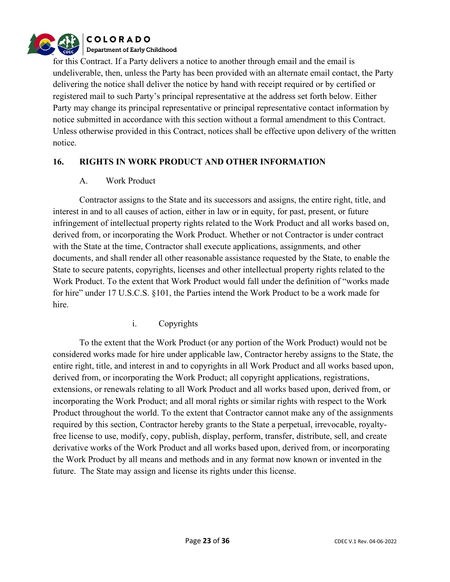

for this Contract. If a Party delivers a notice to another through email and the email is undeliverable, then, unless the Party has been provided with an alternate email contact, the Party delivering the notice shall deliver the notice by hand with receipt required or by certified or registered mail to such Party's principal representative at the address set forth below. Either Party may change its principal representative or principal representative contact information by notice submitted in accordance with this section without a formal amendment to this Contract. Unless otherwise provided in this Contract, notices shall be effective upon delivery of the written notice.

#### **16. RIGHTS IN WORK PRODUCT AND OTHER INFORMATION**

#### A. Work Product

Contractor assigns to the State and its successors and assigns, the entire right, title, and interest in and to all causes of action, either in law or in equity, for past, present, or future infringement of intellectual property rights related to the Work Product and all works based on, derived from, or incorporating the Work Product. Whether or not Contractor is under contract with the State at the time, Contractor shall execute applications, assignments, and other documents, and shall render all other reasonable assistance requested by the State, to enable the State to secure patents, copyrights, licenses and other intellectual property rights related to the Work Product. To the extent that Work Product would fall under the definition of "works made for hire" under 17 U.S.C.S. §101, the Parties intend the Work Product to be a work made for hire.

i. Copyrights

To the extent that the Work Product (or any portion of the Work Product) would not be considered works made for hire under applicable law, Contractor hereby assigns to the State, the entire right, title, and interest in and to copyrights in all Work Product and all works based upon, derived from, or incorporating the Work Product; all copyright applications, registrations, extensions, or renewals relating to all Work Product and all works based upon, derived from, or incorporating the Work Product; and all moral rights or similar rights with respect to the Work Product throughout the world. To the extent that Contractor cannot make any of the assignments required by this section, Contractor hereby grants to the State a perpetual, irrevocable, royaltyfree license to use, modify, copy, publish, display, perform, transfer, distribute, sell, and create derivative works of the Work Product and all works based upon, derived from, or incorporating the Work Product by all means and methods and in any format now known or invented in the future. The State may assign and license its rights under this license.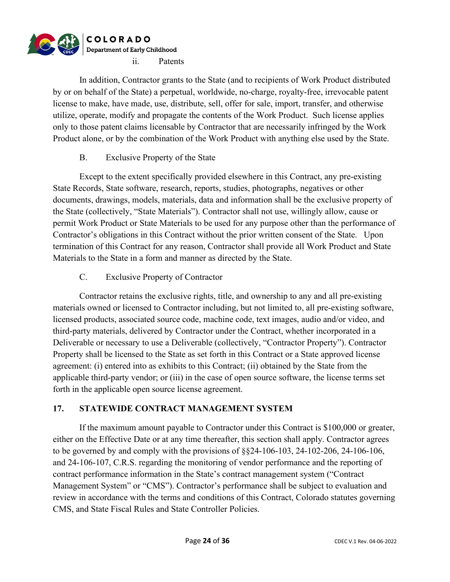

In addition, Contractor grants to the State (and to recipients of Work Product distributed by or on behalf of the State) a perpetual, worldwide, no-charge, royalty-free, irrevocable patent license to make, have made, use, distribute, sell, offer for sale, import, transfer, and otherwise utilize, operate, modify and propagate the contents of the Work Product. Such license applies only to those patent claims licensable by Contractor that are necessarily infringed by the Work Product alone, or by the combination of the Work Product with anything else used by the State.

#### B. Exclusive Property of the State

Except to the extent specifically provided elsewhere in this Contract, any pre-existing State Records, State software, research, reports, studies, photographs, negatives or other documents, drawings, models, materials, data and information shall be the exclusive property of the State (collectively, "State Materials"). Contractor shall not use, willingly allow, cause or permit Work Product or State Materials to be used for any purpose other than the performance of Contractor's obligations in this Contract without the prior written consent of the State. Upon termination of this Contract for any reason, Contractor shall provide all Work Product and State Materials to the State in a form and manner as directed by the State.

C. Exclusive Property of Contractor

Contractor retains the exclusive rights, title, and ownership to any and all pre-existing materials owned or licensed to Contractor including, but not limited to, all pre-existing software, licensed products, associated source code, machine code, text images, audio and/or video, and third-party materials, delivered by Contractor under the Contract, whether incorporated in a Deliverable or necessary to use a Deliverable (collectively, "Contractor Property"). Contractor Property shall be licensed to the State as set forth in this Contract or a State approved license agreement: (i) entered into as exhibits to this Contract; (ii) obtained by the State from the applicable third-party vendor; or (iii) in the case of open source software, the license terms set forth in the applicable open source license agreement.

#### **17. STATEWIDE CONTRACT MANAGEMENT SYSTEM**

If the maximum amount payable to Contractor under this Contract is \$100,000 or greater, either on the Effective Date or at any time thereafter, this section shall apply. Contractor agrees to be governed by and comply with the provisions of  $\S$ §24-106-103, 24-102-206, 24-106-106, and 24-106-107, C.R.S. regarding the monitoring of vendor performance and the reporting of contract performance information in the State's contract management system ("Contract Management System" or "CMS"). Contractor's performance shall be subject to evaluation and review in accordance with the terms and conditions of this Contract, Colorado statutes governing CMS, and State Fiscal Rules and State Controller Policies.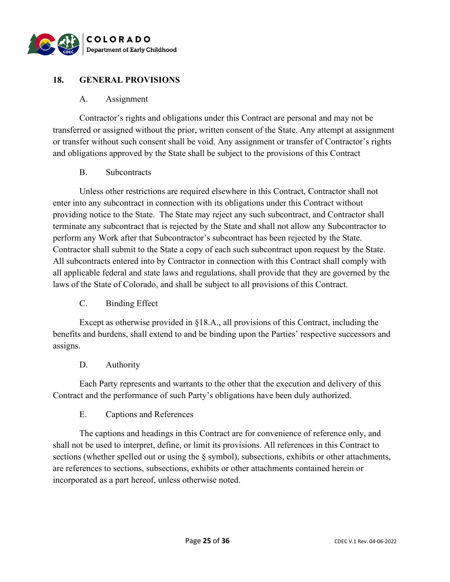

#### **18. GENERAL PROVISIONS**

#### A. Assignment

Contractor's rights and obligations under this Contract are personal and may not be transferred or assigned without the prior, written consent of the State. Any attempt at assignment or transfer without such consent shall be void. Any assignment or transfer of Contractor's rights and obligations approved by the State shall be subject to the provisions of this Contract

#### B. Subcontracts

Unless other restrictions are required elsewhere in this Contract, Contractor shall not enter into any subcontract in connection with its obligations under this Contract without providing notice to the State. The State may reject any such subcontract, and Contractor shall terminate any subcontract that is rejected by the State and shall not allow any Subcontractor to perform any Work after that Subcontractor's subcontract has been rejected by the State. Contractor shall submit to the State a copy of each such subcontract upon request by the State. All subcontracts entered into by Contractor in connection with this Contract shall comply with all applicable federal and state laws and regulations, shall provide that they are governed by the laws of the State of Colorado, and shall be subject to all provisions of this Contract.

#### C. Binding Effect

Except as otherwise provided in §18.A., all provisions of this Contract, including the benefits and burdens, shall extend to and be binding upon the Parties' respective successors and assigns.

#### D. Authority

Each Party represents and warrants to the other that the execution and delivery of this Contract and the performance of such Party's obligations have been duly authorized.

#### E. Captions and References

The captions and headings in this Contract are for convenience of reference only, and shall not be used to interpret, define, or limit its provisions. All references in this Contract to sections (whether spelled out or using the § symbol), subsections, exhibits or other attachments, are references to sections, subsections, exhibits or other attachments contained herein or incorporated as a part hereof, unless otherwise noted.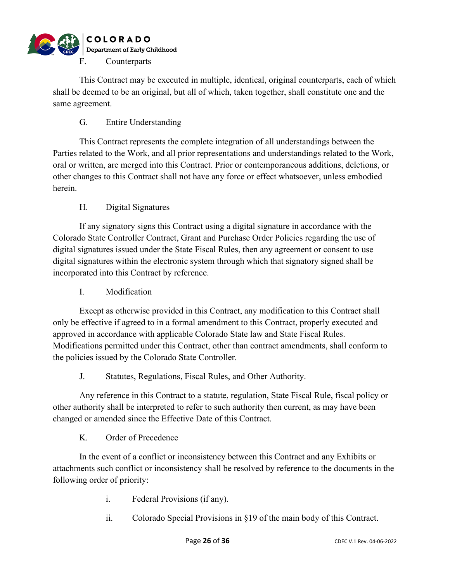

This Contract may be executed in multiple, identical, original counterparts, each of which shall be deemed to be an original, but all of which, taken together, shall constitute one and the same agreement.

### G. Entire Understanding

This Contract represents the complete integration of all understandings between the Parties related to the Work, and all prior representations and understandings related to the Work, oral or written, are merged into this Contract. Prior or contemporaneous additions, deletions, or other changes to this Contract shall not have any force or effect whatsoever, unless embodied herein.

#### H. Digital Signatures

If any signatory signs this Contract using a digital signature in accordance with the Colorado State Controller Contract, Grant and Purchase Order Policies regarding the use of digital signatures issued under the State Fiscal Rules, then any agreement or consent to use digital signatures within the electronic system through which that signatory signed shall be incorporated into this Contract by reference.

#### I. Modification

Except as otherwise provided in this Contract, any modification to this Contract shall only be effective if agreed to in a formal amendment to this Contract, properly executed and approved in accordance with applicable Colorado State law and State Fiscal Rules. Modifications permitted under this Contract, other than contract amendments, shall conform to the policies issued by the Colorado State Controller.

#### J. Statutes, Regulations, Fiscal Rules, and Other Authority.

Any reference in this Contract to a statute, regulation, State Fiscal Rule, fiscal policy or other authority shall be interpreted to refer to such authority then current, as may have been changed or amended since the Effective Date of this Contract.

K. Order of Precedence

In the event of a conflict or inconsistency between this Contract and any Exhibits or attachments such conflict or inconsistency shall be resolved by reference to the documents in the following order of priority:

- i. Federal Provisions (if any).
- ii. Colorado Special Provisions in §19 of the main body of this Contract.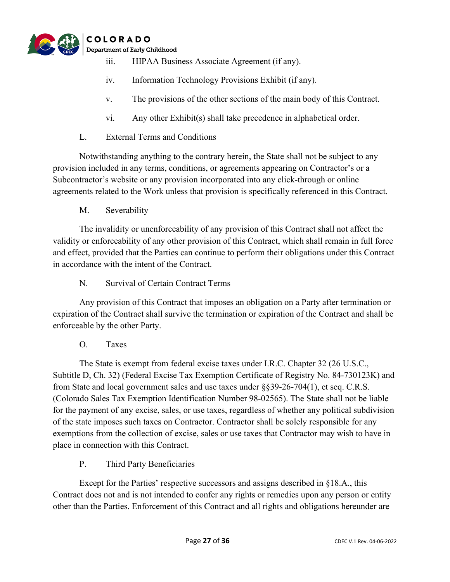

- iii. HIPAA Business Associate Agreement (if any).
- iv. Information Technology Provisions Exhibit (if any).
- v. The provisions of the other sections of the main body of this Contract.
- vi. Any other Exhibit(s) shall take precedence in alphabetical order.
- L. External Terms and Conditions

Notwithstanding anything to the contrary herein, the State shall not be subject to any provision included in any terms, conditions, or agreements appearing on Contractor's or a Subcontractor's website or any provision incorporated into any click-through or online agreements related to the Work unless that provision is specifically referenced in this Contract.

M. Severability

The invalidity or unenforceability of any provision of this Contract shall not affect the validity or enforceability of any other provision of this Contract, which shall remain in full force and effect, provided that the Parties can continue to perform their obligations under this Contract in accordance with the intent of the Contract.

N. Survival of Certain Contract Terms

Any provision of this Contract that imposes an obligation on a Party after termination or expiration of the Contract shall survive the termination or expiration of the Contract and shall be enforceable by the other Party.

O. Taxes

The State is exempt from federal excise taxes under I.R.C. Chapter 32 (26 U.S.C., Subtitle D, Ch. 32) (Federal Excise Tax Exemption Certificate of Registry No. 84-730123K) and from State and local government sales and use taxes under §§39-26-704(1), et seq. C.R.S. (Colorado Sales Tax Exemption Identification Number 98-02565). The State shall not be liable for the payment of any excise, sales, or use taxes, regardless of whether any political subdivision of the state imposes such taxes on Contractor. Contractor shall be solely responsible for any exemptions from the collection of excise, sales or use taxes that Contractor may wish to have in place in connection with this Contract.

P. Third Party Beneficiaries

Except for the Parties' respective successors and assigns described in §18.A., this Contract does not and is not intended to confer any rights or remedies upon any person or entity other than the Parties. Enforcement of this Contract and all rights and obligations hereunder are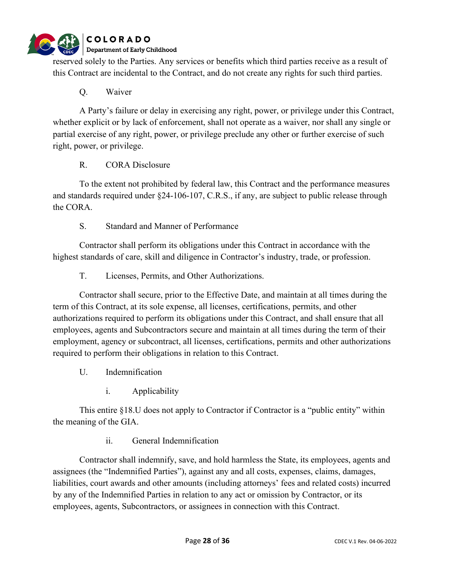

reserved solely to the Parties. Any services or benefits which third parties receive as a result of this Contract are incidental to the Contract, and do not create any rights for such third parties.

### Q. Waiver

A Party's failure or delay in exercising any right, power, or privilege under this Contract, whether explicit or by lack of enforcement, shall not operate as a waiver, nor shall any single or partial exercise of any right, power, or privilege preclude any other or further exercise of such right, power, or privilege.

#### R. CORA Disclosure

To the extent not prohibited by federal law, this Contract and the performance measures and standards required under §24-106-107, C.R.S., if any, are subject to public release through the CORA.

### S. Standard and Manner of Performance

Contractor shall perform its obligations under this Contract in accordance with the highest standards of care, skill and diligence in Contractor's industry, trade, or profession.

T. Licenses, Permits, and Other Authorizations.

Contractor shall secure, prior to the Effective Date, and maintain at all times during the term of this Contract, at its sole expense, all licenses, certifications, permits, and other authorizations required to perform its obligations under this Contract, and shall ensure that all employees, agents and Subcontractors secure and maintain at all times during the term of their employment, agency or subcontract, all licenses, certifications, permits and other authorizations required to perform their obligations in relation to this Contract.

- U. Indemnification
	- i. Applicability

This entire §18.U does not apply to Contractor if Contractor is a "public entity" within the meaning of the GIA.

ii. General Indemnification

Contractor shall indemnify, save, and hold harmless the State, its employees, agents and assignees (the "Indemnified Parties"), against any and all costs, expenses, claims, damages, liabilities, court awards and other amounts (including attorneys' fees and related costs) incurred by any of the Indemnified Parties in relation to any act or omission by Contractor, or its employees, agents, Subcontractors, or assignees in connection with this Contract.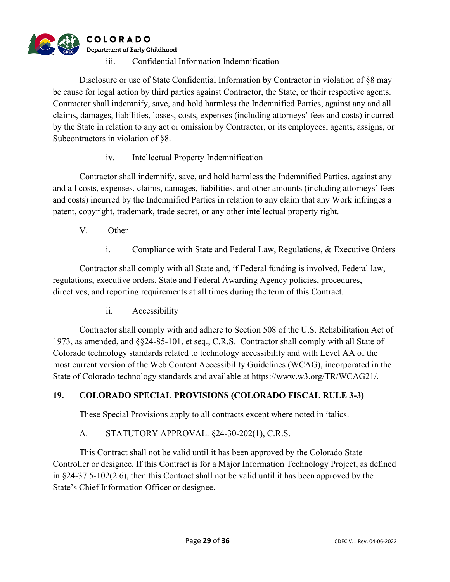

Disclosure or use of State Confidential Information by Contractor in violation of §8 may be cause for legal action by third parties against Contractor, the State, or their respective agents. Contractor shall indemnify, save, and hold harmless the Indemnified Parties, against any and all claims, damages, liabilities, losses, costs, expenses (including attorneys' fees and costs) incurred by the State in relation to any act or omission by Contractor, or its employees, agents, assigns, or Subcontractors in violation of §8.

iv. Intellectual Property Indemnification

Contractor shall indemnify, save, and hold harmless the Indemnified Parties, against any and all costs, expenses, claims, damages, liabilities, and other amounts (including attorneys' fees and costs) incurred by the Indemnified Parties in relation to any claim that any Work infringes a patent, copyright, trademark, trade secret, or any other intellectual property right.

- V. Other
	- i. Compliance with State and Federal Law, Regulations, & Executive Orders

Contractor shall comply with all State and, if Federal funding is involved, Federal law, regulations, executive orders, State and Federal Awarding Agency policies, procedures, directives, and reporting requirements at all times during the term of this Contract.

ii. Accessibility

Contractor shall comply with and adhere to Section 508 of the U.S. Rehabilitation Act of 1973, as amended, and §§24-85-101, et seq., C.R.S. Contractor shall comply with all State of Colorado technology standards related to technology accessibility and with Level AA of the most current version of the Web Content Accessibility Guidelines (WCAG), incorporated in the State of Colorado technology standards and available at https://www.w3.org/TR/WCAG21/.

#### **19. COLORADO SPECIAL PROVISIONS (COLORADO FISCAL RULE 3-3)**

These Special Provisions apply to all contracts except where noted in italics.

#### A. STATUTORY APPROVAL. §24-30-202(1), C.R.S.

This Contract shall not be valid until it has been approved by the Colorado State Controller or designee. If this Contract is for a Major Information Technology Project, as defined in §24-37.5-102(2.6), then this Contract shall not be valid until it has been approved by the State's Chief Information Officer or designee.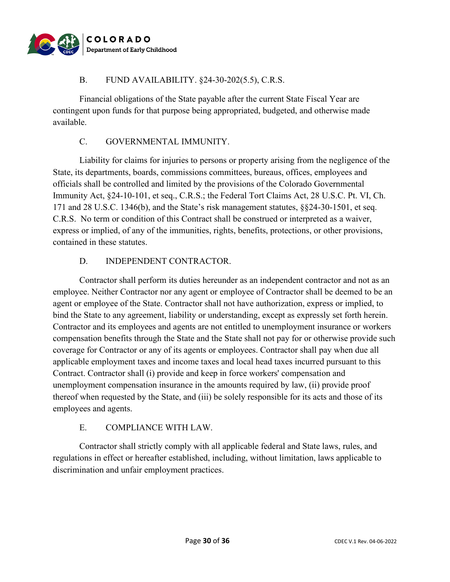

#### B. FUND AVAILABILITY. §24-30-202(5.5), C.R.S.

Financial obligations of the State payable after the current State Fiscal Year are contingent upon funds for that purpose being appropriated, budgeted, and otherwise made available.

### C. GOVERNMENTAL IMMUNITY.

Liability for claims for injuries to persons or property arising from the negligence of the State, its departments, boards, commissions committees, bureaus, offices, employees and officials shall be controlled and limited by the provisions of the Colorado Governmental Immunity Act, §24-10-101, et seq., C.R.S.; the Federal Tort Claims Act, 28 U.S.C. Pt. VI, Ch. 171 and 28 U.S.C. 1346(b), and the State's risk management statutes, §§24-30-1501, et seq. C.R.S. No term or condition of this Contract shall be construed or interpreted as a waiver, express or implied, of any of the immunities, rights, benefits, protections, or other provisions, contained in these statutes.

### D. INDEPENDENT CONTRACTOR.

Contractor shall perform its duties hereunder as an independent contractor and not as an employee. Neither Contractor nor any agent or employee of Contractor shall be deemed to be an agent or employee of the State. Contractor shall not have authorization, express or implied, to bind the State to any agreement, liability or understanding, except as expressly set forth herein. Contractor and its employees and agents are not entitled to unemployment insurance or workers compensation benefits through the State and the State shall not pay for or otherwise provide such coverage for Contractor or any of its agents or employees. Contractor shall pay when due all applicable employment taxes and income taxes and local head taxes incurred pursuant to this Contract. Contractor shall (i) provide and keep in force workers' compensation and unemployment compensation insurance in the amounts required by law, (ii) provide proof thereof when requested by the State, and (iii) be solely responsible for its acts and those of its employees and agents.

#### E. COMPLIANCE WITH LAW.

Contractor shall strictly comply with all applicable federal and State laws, rules, and regulations in effect or hereafter established, including, without limitation, laws applicable to discrimination and unfair employment practices.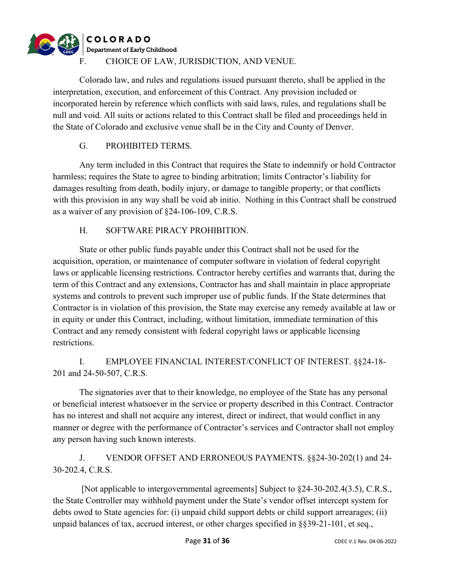# **COLORADO** Department of Early Childhood F. CHOICE OF LAW, JURISDICTION, AND VENUE.

Colorado law, and rules and regulations issued pursuant thereto, shall be applied in the interpretation, execution, and enforcement of this Contract. Any provision included or incorporated herein by reference which conflicts with said laws, rules, and regulations shall be null and void. All suits or actions related to this Contract shall be filed and proceedings held in the State of Colorado and exclusive venue shall be in the City and County of Denver.

# G. PROHIBITED TERMS.

Any term included in this Contract that requires the State to indemnify or hold Contractor harmless; requires the State to agree to binding arbitration; limits Contractor's liability for damages resulting from death, bodily injury, or damage to tangible property; or that conflicts with this provision in any way shall be void ab initio. Nothing in this Contract shall be construed as a waiver of any provision of §24-106-109, C.R.S.

# H. SOFTWARE PIRACY PROHIBITION.

State or other public funds payable under this Contract shall not be used for the acquisition, operation, or maintenance of computer software in violation of federal copyright laws or applicable licensing restrictions. Contractor hereby certifies and warrants that, during the term of this Contract and any extensions, Contractor has and shall maintain in place appropriate systems and controls to prevent such improper use of public funds. If the State determines that Contractor is in violation of this provision, the State may exercise any remedy available at law or in equity or under this Contract, including, without limitation, immediate termination of this Contract and any remedy consistent with federal copyright laws or applicable licensing restrictions.

# I. EMPLOYEE FINANCIAL INTEREST/CONFLICT OF INTEREST. §§24-18- 201 and 24-50-507, C.R.S.

The signatories aver that to their knowledge, no employee of the State has any personal or beneficial interest whatsoever in the service or property described in this Contract. Contractor has no interest and shall not acquire any interest, direct or indirect, that would conflict in any manner or degree with the performance of Contractor's services and Contractor shall not employ any person having such known interests.

# J. VENDOR OFFSET AND ERRONEOUS PAYMENTS. §§24-30-202(1) and 24- 30-202.4, C.R.S.

[Not applicable to intergovernmental agreements] Subject to §24-30-202.4(3.5), C.R.S., the State Controller may withhold payment under the State's vendor offset intercept system for debts owed to State agencies for: (i) unpaid child support debts or child support arrearages; (ii) unpaid balances of tax, accrued interest, or other charges specified in §§39-21-101, et seq.,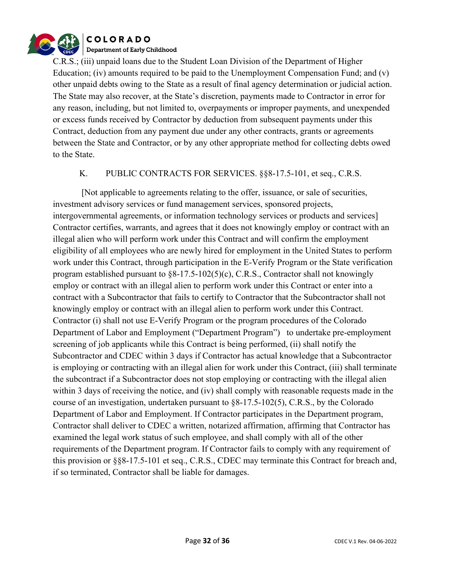

C.R.S.; (iii) unpaid loans due to the Student Loan Division of the Department of Higher Education; (iv) amounts required to be paid to the Unemployment Compensation Fund; and (v) other unpaid debts owing to the State as a result of final agency determination or judicial action. The State may also recover, at the State's discretion, payments made to Contractor in error for any reason, including, but not limited to, overpayments or improper payments, and unexpended or excess funds received by Contractor by deduction from subsequent payments under this Contract, deduction from any payment due under any other contracts, grants or agreements between the State and Contractor, or by any other appropriate method for collecting debts owed to the State.

#### K. PUBLIC CONTRACTS FOR SERVICES. §§8-17.5-101, et seq., C.R.S.

[Not applicable to agreements relating to the offer, issuance, or sale of securities, investment advisory services or fund management services, sponsored projects, intergovernmental agreements, or information technology services or products and services] Contractor certifies, warrants, and agrees that it does not knowingly employ or contract with an illegal alien who will perform work under this Contract and will confirm the employment eligibility of all employees who are newly hired for employment in the United States to perform work under this Contract, through participation in the E-Verify Program or the State verification program established pursuant to §8-17.5-102(5)(c), C.R.S., Contractor shall not knowingly employ or contract with an illegal alien to perform work under this Contract or enter into a contract with a Subcontractor that fails to certify to Contractor that the Subcontractor shall not knowingly employ or contract with an illegal alien to perform work under this Contract. Contractor (i) shall not use E-Verify Program or the program procedures of the Colorado Department of Labor and Employment ("Department Program") to undertake pre-employment screening of job applicants while this Contract is being performed, (ii) shall notify the Subcontractor and CDEC within 3 days if Contractor has actual knowledge that a Subcontractor is employing or contracting with an illegal alien for work under this Contract, (iii) shall terminate the subcontract if a Subcontractor does not stop employing or contracting with the illegal alien within 3 days of receiving the notice, and (iv) shall comply with reasonable requests made in the course of an investigation, undertaken pursuant to §8-17.5-102(5), C.R.S., by the Colorado Department of Labor and Employment. If Contractor participates in the Department program, Contractor shall deliver to CDEC a written, notarized affirmation, affirming that Contractor has examined the legal work status of such employee, and shall comply with all of the other requirements of the Department program. If Contractor fails to comply with any requirement of this provision or §§8-17.5-101 et seq., C.R.S., CDEC may terminate this Contract for breach and, if so terminated, Contractor shall be liable for damages.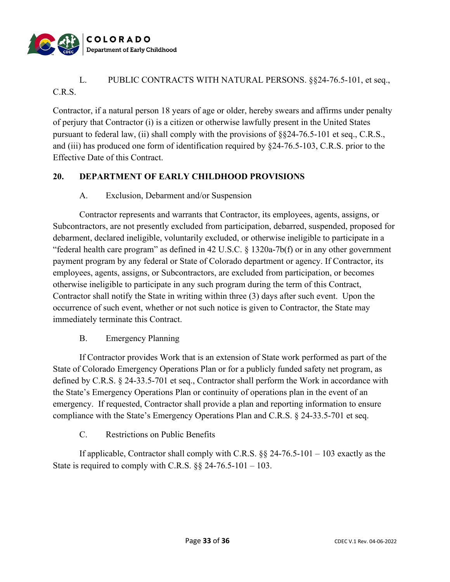

# L. PUBLIC CONTRACTS WITH NATURAL PERSONS. §§24-76.5-101, et seq., C.R.S.

Contractor, if a natural person 18 years of age or older, hereby swears and affirms under penalty of perjury that Contractor (i) is a citizen or otherwise lawfully present in the United States pursuant to federal law, (ii) shall comply with the provisions of §§24-76.5-101 et seq., C.R.S., and (iii) has produced one form of identification required by §24-76.5-103, C.R.S. prior to the Effective Date of this Contract.

### **20. DEPARTMENT OF EARLY CHILDHOOD PROVISIONS**

### A. Exclusion, Debarment and/or Suspension

Contractor represents and warrants that Contractor, its employees, agents, assigns, or Subcontractors, are not presently excluded from participation, debarred, suspended, proposed for debarment, declared ineligible, voluntarily excluded, or otherwise ineligible to participate in a "federal health care program" as defined in 42 U.S.C. § 1320a-7b(f) or in any other government payment program by any federal or State of Colorado department or agency. If Contractor, its employees, agents, assigns, or Subcontractors, are excluded from participation, or becomes otherwise ineligible to participate in any such program during the term of this Contract, Contractor shall notify the State in writing within three (3) days after such event. Upon the occurrence of such event, whether or not such notice is given to Contractor, the State may immediately terminate this Contract.

#### B. Emergency Planning

If Contractor provides Work that is an extension of State work performed as part of the State of Colorado Emergency Operations Plan or for a publicly funded safety net program, as defined by C.R.S. § 24-33.5-701 et seq., Contractor shall perform the Work in accordance with the State's Emergency Operations Plan or continuity of operations plan in the event of an emergency. If requested, Contractor shall provide a plan and reporting information to ensure compliance with the State's Emergency Operations Plan and C.R.S. § 24-33.5-701 et seq.

C. Restrictions on Public Benefits

If applicable, Contractor shall comply with C.R.S.  $\S$  24-76.5-101 – 103 exactly as the State is required to comply with C.R.S.  $\S$  24-76.5-101 – 103.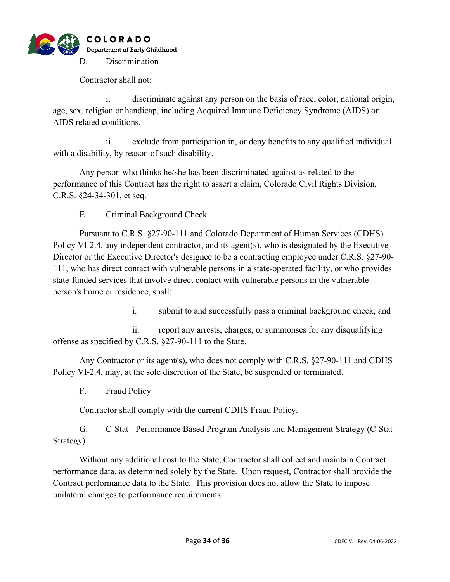

Contractor shall not:

i. discriminate against any person on the basis of race, color, national origin, age, sex, religion or handicap, including Acquired Immune Deficiency Syndrome (AIDS) or AIDS related conditions.

ii. exclude from participation in, or deny benefits to any qualified individual with a disability, by reason of such disability.

Any person who thinks he/she has been discriminated against as related to the performance of this Contract has the right to assert a claim, Colorado Civil Rights Division, C.R.S. §24-34-301, et seq.

E. Criminal Background Check

Pursuant to C.R.S. §27-90-111 and Colorado Department of Human Services (CDHS) Policy VI-2.4, any independent contractor, and its agent(s), who is designated by the Executive Director or the Executive Director's designee to be a contracting employee under C.R.S. §27-90- 111, who has direct contact with vulnerable persons in a state-operated facility, or who provides state-funded services that involve direct contact with vulnerable persons in the vulnerable person's home or residence, shall:

i. submit to and successfully pass a criminal background check, and

ii. report any arrests, charges, or summonses for any disqualifying offense as specified by C.R.S. §27-90-111 to the State.

Any Contractor or its agent(s), who does not comply with C.R.S. §27-90-111 and CDHS Policy VI-2.4, may, at the sole discretion of the State, be suspended or terminated.

F. Fraud Policy

Contractor shall comply with the current CDHS Fraud Policy.

G. C-Stat - Performance Based Program Analysis and Management Strategy (C-Stat Strategy)

Without any additional cost to the State, Contractor shall collect and maintain Contract performance data, as determined solely by the State. Upon request, Contractor shall provide the Contract performance data to the State. This provision does not allow the State to impose unilateral changes to performance requirements.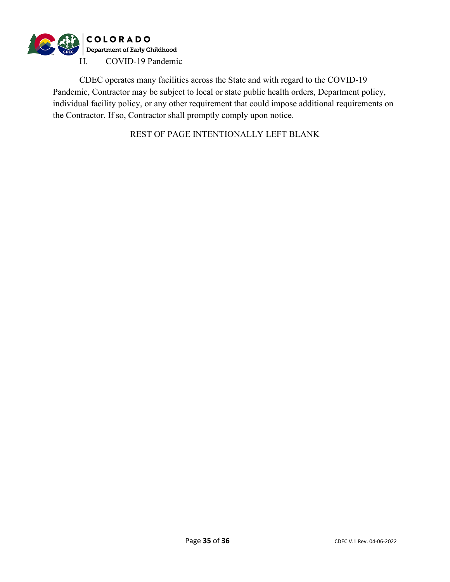

CDEC operates many facilities across the State and with regard to the COVID-19 Pandemic, Contractor may be subject to local or state public health orders, Department policy, individual facility policy, or any other requirement that could impose additional requirements on the Contractor. If so, Contractor shall promptly comply upon notice.

REST OF PAGE INTENTIONALLY LEFT BLANK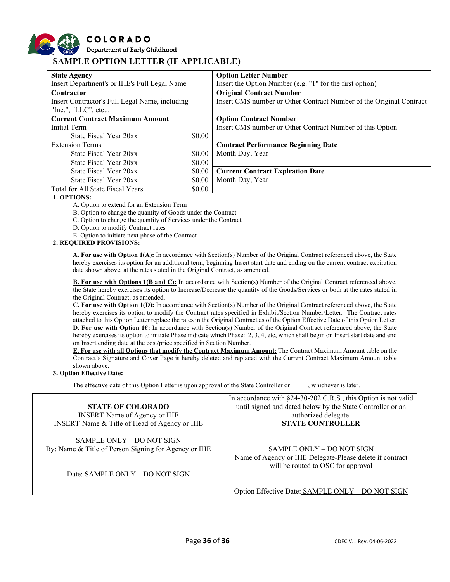## **COLORADO** Department of Early Childhood **SAMPLE OPTION LETTER (IF APPLICABLE)**

| <b>State Agency</b>                            |        | <b>Option Letter Number</b>                                         |
|------------------------------------------------|--------|---------------------------------------------------------------------|
| Insert Department's or IHE's Full Legal Name   |        | Insert the Option Number (e.g. "1" for the first option)            |
| Contractor                                     |        | <b>Original Contract Number</b>                                     |
| Insert Contractor's Full Legal Name, including |        | Insert CMS number or Other Contract Number of the Original Contract |
| "Inc.", " $LLC$ ", etc                         |        |                                                                     |
| <b>Current Contract Maximum Amount</b>         |        | <b>Option Contract Number</b>                                       |
| Initial Term                                   |        | Insert CMS number or Other Contract Number of this Option           |
| State Fiscal Year 20xx                         | \$0.00 |                                                                     |
| <b>Extension Terms</b>                         |        | <b>Contract Performance Beginning Date</b>                          |
| State Fiscal Year 20xx                         | \$0.00 | Month Day, Year                                                     |
| State Fiscal Year 20xx                         | \$0.00 |                                                                     |
| State Fiscal Year 20xx                         | \$0.00 | <b>Current Contract Expiration Date</b>                             |
| State Fiscal Year 20xx                         | \$0.00 | Month Day, Year                                                     |
| Total for All State Fiscal Years               | \$0.00 |                                                                     |

#### **1. OPTIONS:**

A. Option to extend for an Extension Term

B. Option to change the quantity of Goods under the Contract

C. Option to change the quantity of Services under the Contract

D. Option to modify Contract rates

E. Option to initiate next phase of the Contract

#### **2. REQUIRED PROVISIONS:**

**A. For use with Option 1(A):** In accordance with Section(s) Number of the Original Contract referenced above, the State hereby exercises its option for an additional term, beginning Insert start date and ending on the current contract expiration date shown above, at the rates stated in the Original Contract, as amended.

**B. For use with Options 1(B and C):** In accordance with Section(s) Number of the Original Contract referenced above, the State hereby exercises its option to Increase/Decrease the quantity of the Goods/Services or both at the rates stated in the Original Contract, as amended.

**C. For use with Option 1(D):** In accordance with Section(s) Number of the Original Contract referenced above, the State hereby exercises its option to modify the Contract rates specified in Exhibit/Section Number/Letter. The Contract rates attached to this Option Letter replace the rates in the Original Contract as of the Option Effective Date of this Option Letter. **D. For use with Option 1€:** In accordance with Section(s) Number of the Original Contract referenced above, the State hereby exercises its option to initiate Phase indicate which Phase: 2, 3, 4, etc, which shall begin on Insert start date and end on Insert ending date at the cost/price specified in Section Number.

**E. For use with all Options that modify the Contract Maximum Amount:** The Contract Maximum Amount table on the Contract's Signature and Cover Page is hereby deleted and replaced with the Current Contract Maximum Amount table shown above.

#### **3. Option Effective Date:**

The effective date of this Option Letter is upon approval of the State Controller or , whichever is later.

| In accordance with $\S24-30-202$ C.R.S., this Option is not valid                                                           |
|-----------------------------------------------------------------------------------------------------------------------------|
| until signed and dated below by the State Controller or an                                                                  |
| authorized delegate.                                                                                                        |
| <b>STATE CONTROLLER</b>                                                                                                     |
| SAMPLE ONLY - DO NOT SIGN<br>Name of Agency or IHE Delegate-Please delete if contract<br>will be routed to OSC for approval |
|                                                                                                                             |

Option Effective Date: SAMPLE ONLY – DO NOT SIGN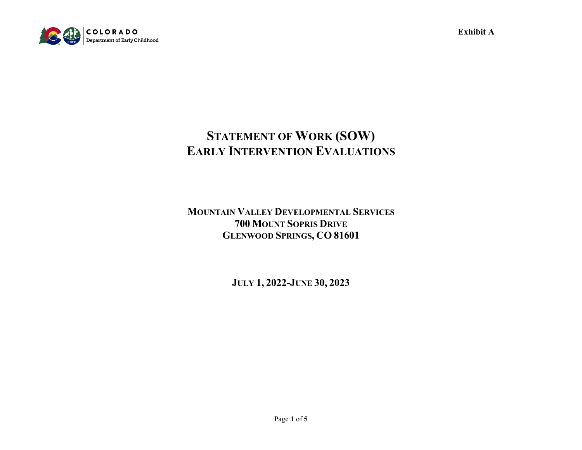

**Exhibit A**

# **STATEMENT OF WORK (SOW) EARLY INTERVENTION EVALUATIONS**

**MOUNTAIN VALLEY DEVELOPMENTAL SERVICES 700 MOUNT SOPRIS DRIVE GLENWOOD SPRINGS, CO 81601**

**JULY 1, 2022-JUNE 30, 2023**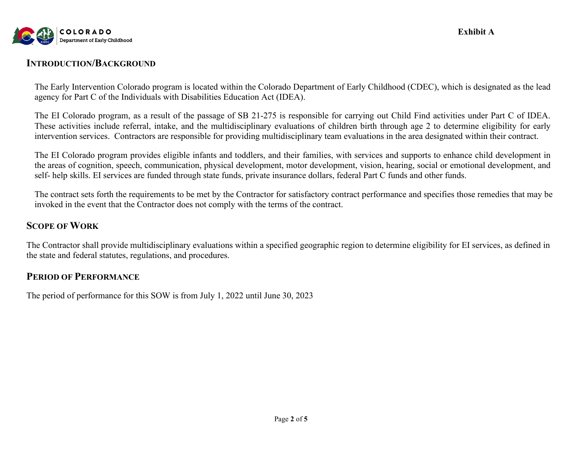

**Exhibit A**

# **INTRODUCTION/BACKGROUND**

The Early Intervention Colorado program is located within the Colorado Department of Early Childhood (CDEC), which is designated as the lead agency for Part C of the Individuals with Disabilities Education Act (IDEA).

The EI Colorado program, as a result of the passage of SB 21-275 is responsible for carrying out Child Find activities under Part C of IDEA. These activities include referral, intake, and the multidisciplinary evaluations of children birth through age 2 to determine eligibility for early intervention services. Contractors are responsible for providing multidisciplinary team evaluations in the area designated within their contract.

The EI Colorado program provides eligible infants and toddlers, and their families, with services and supports to enhance child development in the areas of cognition, speech, communication, physical development, motor development, vision, hearing, social or emotional development, and self- help skills. EI services are funded through state funds, private insurance dollars, federal Part C funds and other funds.

The contract sets forth the requirements to be met by the Contractor for satisfactory contract performance and specifies those remedies that may be invoked in the event that the Contractor does not comply with the terms of the contract.

## **SCOPE OF WORK**

The Contractor shall provide multidisciplinary evaluations within a specified geographic region to determine eligibility for EI services, as defined in the state and federal statutes, regulations, and procedures.

## **PERIOD OF PERFORMANCE**

The period of performance for this SOW is from July 1, 2022 until June 30, 2023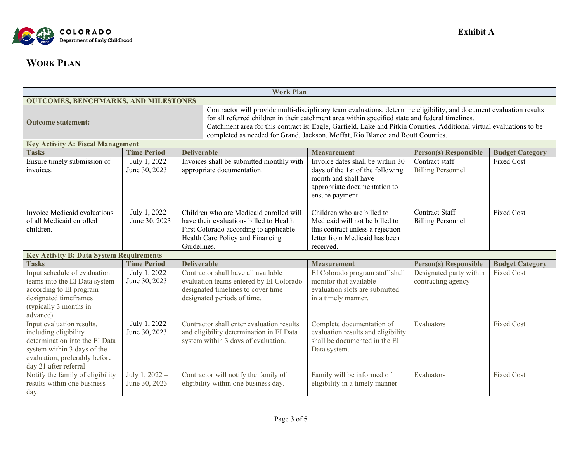

# **WORK PLAN**

| <b>Work Plan</b>                                                                                                                                                                                                                                                                                                                                                                                                                                              |                                 |                                                                                                                                                                  |                                                                                                                                                 |                                                   |                        |  |  |
|---------------------------------------------------------------------------------------------------------------------------------------------------------------------------------------------------------------------------------------------------------------------------------------------------------------------------------------------------------------------------------------------------------------------------------------------------------------|---------------------------------|------------------------------------------------------------------------------------------------------------------------------------------------------------------|-------------------------------------------------------------------------------------------------------------------------------------------------|---------------------------------------------------|------------------------|--|--|
| <b>OUTCOMES, BENCHMARKS, AND MILESTONES</b>                                                                                                                                                                                                                                                                                                                                                                                                                   |                                 |                                                                                                                                                                  |                                                                                                                                                 |                                                   |                        |  |  |
| Contractor will provide multi-disciplinary team evaluations, determine eligibility, and document evaluation results<br>for all referred children in their catchment area within specified state and federal timelines.<br><b>Outcome statement:</b><br>Catchment area for this contract is: Eagle, Garfield, Lake and Pitkin Counties. Additional virtual evaluations to be<br>completed as needed for Grand, Jackson, Moffat, Rio Blanco and Routt Counties. |                                 |                                                                                                                                                                  |                                                                                                                                                 |                                                   |                        |  |  |
| <b>Key Activity A: Fiscal Management</b>                                                                                                                                                                                                                                                                                                                                                                                                                      |                                 |                                                                                                                                                                  |                                                                                                                                                 |                                                   |                        |  |  |
| <b>Tasks</b>                                                                                                                                                                                                                                                                                                                                                                                                                                                  | <b>Time Period</b>              | <b>Deliverable</b>                                                                                                                                               | <b>Measurement</b>                                                                                                                              | <b>Person(s) Responsible</b>                      | <b>Budget Category</b> |  |  |
| Ensure timely submission of<br>invoices.                                                                                                                                                                                                                                                                                                                                                                                                                      | July 1, 2022 -<br>June 30, 2023 | Invoices shall be submitted monthly with<br>appropriate documentation.                                                                                           | Invoice dates shall be within 30<br>days of the 1st of the following<br>month and shall have<br>appropriate documentation to<br>ensure payment. | Contract staff<br><b>Billing Personnel</b>        | <b>Fixed Cost</b>      |  |  |
| Invoice Medicaid evaluations<br>of all Medicaid enrolled<br>children.                                                                                                                                                                                                                                                                                                                                                                                         | July 1, 2022 -<br>June 30, 2023 | Children who are Medicaid enrolled will<br>have their evaluations billed to Health<br>First Colorado according to applicable<br>Health Care Policy and Financing | Children who are billed to<br>Medicaid will not be billed to<br>this contract unless a rejection<br>letter from Medicaid has been               | <b>Contract Staff</b><br><b>Billing Personnel</b> | <b>Fixed Cost</b>      |  |  |
|                                                                                                                                                                                                                                                                                                                                                                                                                                                               |                                 | Guidelines.                                                                                                                                                      | received.                                                                                                                                       |                                                   |                        |  |  |
| <b>Key Activity B: Data System Requirements</b><br><b>Deliverable</b><br><b>Tasks</b><br><b>Time Period</b><br><b>Person(s) Responsible</b><br><b>Measurement</b><br><b>Budget Category</b>                                                                                                                                                                                                                                                                   |                                 |                                                                                                                                                                  |                                                                                                                                                 |                                                   |                        |  |  |
| Input schedule of evaluation<br>teams into the EI Data system<br>according to EI program<br>designated timeframes<br>(typically 3 months in<br>advance).                                                                                                                                                                                                                                                                                                      | July 1, 2022 -<br>June 30, 2023 | Contractor shall have all available<br>evaluation teams entered by EI Colorado<br>designated timelines to cover time<br>designated periods of time.              | EI Colorado program staff shall<br>monitor that available<br>evaluation slots are submitted<br>in a timely manner.                              | Designated party within<br>contracting agency     | <b>Fixed Cost</b>      |  |  |
| Input evaluation results,<br>including eligibility<br>determination into the EI Data<br>system within 3 days of the<br>evaluation, preferably before<br>day 21 after referral                                                                                                                                                                                                                                                                                 | July 1, 2022 -<br>June 30, 2023 | Contractor shall enter evaluation results<br>and eligibility determination in EI Data<br>system within 3 days of evaluation.                                     | Complete documentation of<br>evaluation results and eligibility<br>shall be documented in the EI<br>Data system.                                | Evaluators                                        | <b>Fixed Cost</b>      |  |  |
| Notify the family of eligibility<br>results within one business<br>day.                                                                                                                                                                                                                                                                                                                                                                                       | July 1, 2022 -<br>June 30, 2023 | Contractor will notify the family of<br>eligibility within one business day.                                                                                     | Family will be informed of<br>eligibility in a timely manner                                                                                    | Evaluators                                        | <b>Fixed Cost</b>      |  |  |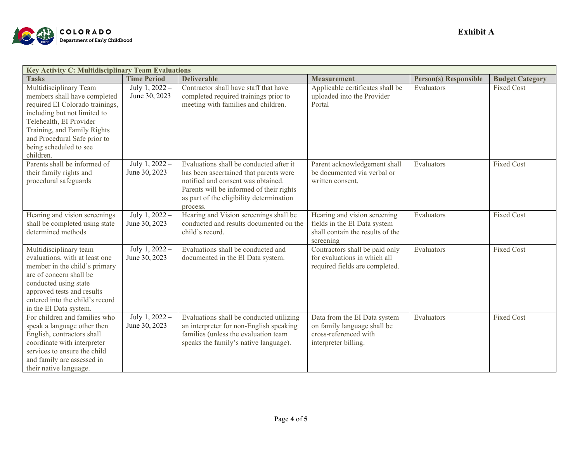

| <b>Key Activity C: Multidisciplinary Team Evaluations</b> |                    |                                          |                                  |                              |                        |
|-----------------------------------------------------------|--------------------|------------------------------------------|----------------------------------|------------------------------|------------------------|
| <b>Tasks</b>                                              | <b>Time Period</b> | <b>Deliverable</b>                       | <b>Measurement</b>               | <b>Person(s) Responsible</b> | <b>Budget Category</b> |
| Multidisciplinary Team                                    | July 1, 2022 -     | Contractor shall have staff that have    | Applicable certificates shall be | Evaluators                   | <b>Fixed Cost</b>      |
| members shall have completed                              | June 30, 2023      | completed required trainings prior to    | uploaded into the Provider       |                              |                        |
| required EI Colorado trainings,                           |                    | meeting with families and children.      | Portal                           |                              |                        |
| including but not limited to                              |                    |                                          |                                  |                              |                        |
| Telehealth, EI Provider                                   |                    |                                          |                                  |                              |                        |
| Training, and Family Rights                               |                    |                                          |                                  |                              |                        |
| and Procedural Safe prior to                              |                    |                                          |                                  |                              |                        |
| being scheduled to see                                    |                    |                                          |                                  |                              |                        |
| children.                                                 |                    |                                          |                                  |                              |                        |
| Parents shall be informed of                              | July 1, $2022 -$   | Evaluations shall be conducted after it  | Parent acknowledgement shall     | Evaluators                   | <b>Fixed Cost</b>      |
| their family rights and                                   | June 30, 2023      | has been ascertained that parents were   | be documented via verbal or      |                              |                        |
| procedural safeguards                                     |                    | notified and consent was obtained.       | written consent.                 |                              |                        |
|                                                           |                    | Parents will be informed of their rights |                                  |                              |                        |
|                                                           |                    | as part of the eligibility determination |                                  |                              |                        |
|                                                           |                    | process.                                 |                                  |                              |                        |
| Hearing and vision screenings                             | July 1, $2022 -$   | Hearing and Vision screenings shall be   | Hearing and vision screening     | Evaluators                   | <b>Fixed Cost</b>      |
| shall be completed using state                            | June 30, 2023      | conducted and results documented on the  | fields in the EI Data system     |                              |                        |
| determined methods                                        |                    | child's record.                          | shall contain the results of the |                              |                        |
|                                                           |                    |                                          | screening                        |                              |                        |
| Multidisciplinary team                                    | July 1, 2022 -     | Evaluations shall be conducted and       | Contractors shall be paid only   | Evaluators                   | <b>Fixed Cost</b>      |
| evaluations, with at least one                            | June 30, 2023      | documented in the EI Data system.        | for evaluations in which all     |                              |                        |
| member in the child's primary                             |                    |                                          | required fields are completed.   |                              |                        |
| are of concern shall be                                   |                    |                                          |                                  |                              |                        |
| conducted using state                                     |                    |                                          |                                  |                              |                        |
| approved tests and results                                |                    |                                          |                                  |                              |                        |
| entered into the child's record                           |                    |                                          |                                  |                              |                        |
| in the EI Data system.                                    |                    |                                          |                                  |                              |                        |
| For children and families who                             | July 1, 2022 -     | Evaluations shall be conducted utilizing | Data from the EI Data system     | Evaluators                   | <b>Fixed Cost</b>      |
| speak a language other then                               | June 30, 2023      | an interpreter for non-English speaking  | on family language shall be      |                              |                        |
| English, contractors shall                                |                    | families (unless the evaluation team     | cross-referenced with            |                              |                        |
| coordinate with interpreter                               |                    | speaks the family's native language).    | interpreter billing.             |                              |                        |
| services to ensure the child                              |                    |                                          |                                  |                              |                        |
| and family are assessed in                                |                    |                                          |                                  |                              |                        |
| their native language.                                    |                    |                                          |                                  |                              |                        |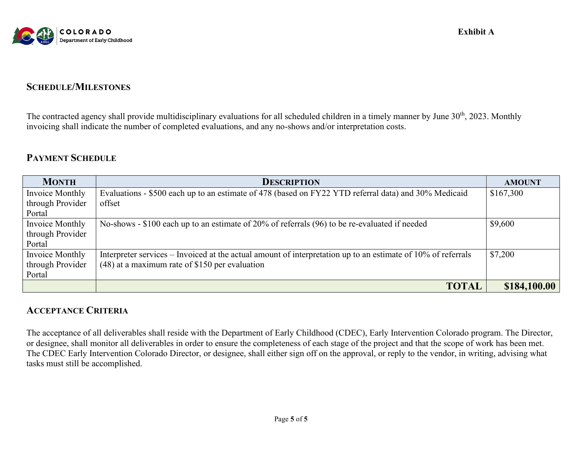

# **SCHEDULE/MILESTONES**

The contracted agency shall provide multidisciplinary evaluations for all scheduled children in a timely manner by June 30<sup>th</sup>, 2023. Monthly invoicing shall indicate the number of completed evaluations, and any no-shows and/or interpretation costs.

# **PAYMENT SCHEDULE**

| <b>MONTH</b>     | <b>DESCRIPTION</b>                                                                                           | <b>AMOUNT</b> |
|------------------|--------------------------------------------------------------------------------------------------------------|---------------|
| Invoice Monthly  | Evaluations - \$500 each up to an estimate of 478 (based on FY22 YTD referral data) and 30% Medicaid         | \$167,300     |
| through Provider | offset                                                                                                       |               |
| Portal           |                                                                                                              |               |
| Invoice Monthly  | No-shows - \$100 each up to an estimate of 20% of referrals (96) to be re-evaluated if needed                | \$9,600       |
| through Provider |                                                                                                              |               |
| Portal           |                                                                                                              |               |
| Invoice Monthly  | Interpreter services – Invoiced at the actual amount of interpretation up to an estimate of 10% of referrals | \$7,200       |
| through Provider | $(48)$ at a maximum rate of \$150 per evaluation                                                             |               |
| Portal           |                                                                                                              |               |
|                  | <b>TOTAL</b>                                                                                                 | \$184,100.00  |

# **ACCEPTANCE CRITERIA**

The acceptance of all deliverables shall reside with the Department of Early Childhood (CDEC), Early Intervention Colorado program. The Director, or designee, shall monitor all deliverables in order to ensure the completeness of each stage of the project and that the scope of work has been met. The CDEC Early Intervention Colorado Director, or designee, shall either sign off on the approval, or reply to the vendor, in writing, advising what tasks must still be accomplished.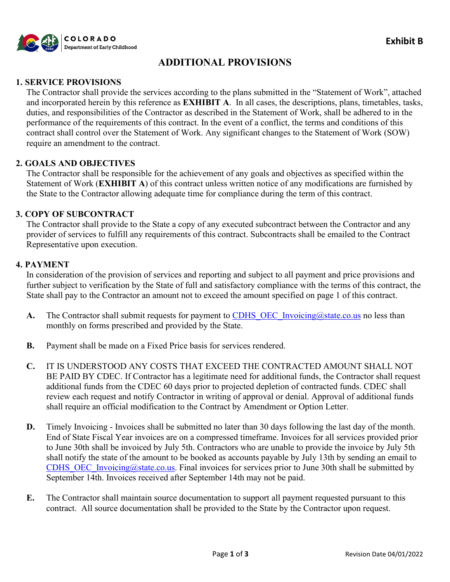

# **ADDITIONAL PROVISIONS**

#### **1. SERVICE PROVISIONS**

The Contractor shall provide the services according to the plans submitted in the "Statement of Work", attached and incorporated herein by this reference as **EXHIBIT A**. In all cases, the descriptions, plans, timetables, tasks, duties, and responsibilities of the Contractor as described in the Statement of Work, shall be adhered to in the performance of the requirements of this contract. In the event of a conflict, the terms and conditions of this contract shall control over the Statement of Work. Any significant changes to the Statement of Work (SOW) require an amendment to the contract.

#### **2. GOALS AND OBJECTIVES**

The Contractor shall be responsible for the achievement of any goals and objectives as specified within the Statement of Work (**EXHIBIT A**) of this contract unless written notice of any modifications are furnished by the State to the Contractor allowing adequate time for compliance during the term of this contract.

#### **3. COPY OF SUBCONTRACT**

The Contractor shall provide to the State a copy of any executed subcontract between the Contractor and any provider of services to fulfill any requirements of this contract. Subcontracts shall be emailed to the Contract Representative upon execution.

#### **4. PAYMENT**

In consideration of the provision of services and reporting and subject to all payment and price provisions and further subject to verification by the State of full and satisfactory compliance with the terms of this contract, the State shall pay to the Contractor an amount not to exceed the amount specified on page 1 of this contract.

- A. The Contractor shall submit requests for payment to CDHS OEC Invoicing@state.co.us no less than monthly on forms prescribed and provided by the State.
- **B.** Payment shall be made on a Fixed Price basis for services rendered.
- **C.** IT IS UNDERSTOOD ANY COSTS THAT EXCEED THE CONTRACTED AMOUNT SHALL NOT BE PAID BY CDEC. If Contractor has a legitimate need for additional funds, the Contractor shall request additional funds from the CDEC 60 days prior to projected depletion of contracted funds. CDEC shall review each request and notify Contractor in writing of approval or denial. Approval of additional funds shall require an official modification to the Contract by Amendment or Option Letter.
- **D.** Timely Invoicing Invoices shall be submitted no later than 30 days following the last day of the month. End of State Fiscal Year invoices are on a compressed timeframe. Invoices for all services provided prior to June 30th shall be invoiced by July 5th. Contractors who are unable to provide the invoice by July 5th shall notify the state of the amount to be booked as accounts payable by July 13th by sending an email to CDHS OEC Invoicing@state.co.us. Final invoices for services prior to June 30th shall be submitted by September 14th. Invoices received after September 14th may not be paid.
- **E.** The Contractor shall maintain source documentation to support all payment requested pursuant to this contract. All source documentation shall be provided to the State by the Contractor upon request.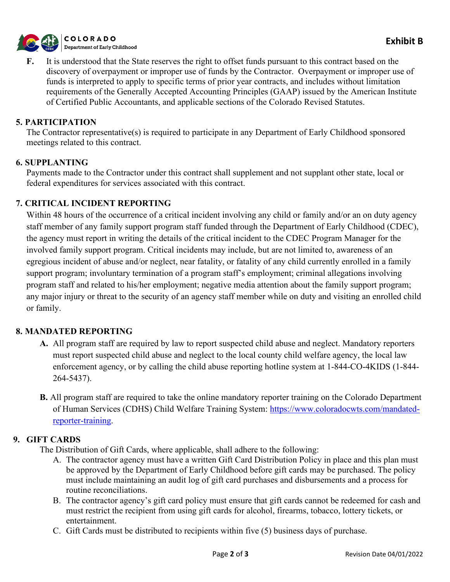

**F.** It is understood that the State reserves the right to offset funds pursuant to this contract based on the discovery of overpayment or improper use of funds by the Contractor. Overpayment or improper use of funds is interpreted to apply to specific terms of prior year contracts, and includes without limitation requirements of the Generally Accepted Accounting Principles (GAAP) issued by the American Institute of Certified Public Accountants, and applicable sections of the Colorado Revised Statutes.

#### **5. PARTICIPATION**

The Contractor representative(s) is required to participate in any Department of Early Childhood sponsored meetings related to this contract.

#### **6. SUPPLANTING**

Payments made to the Contractor under this contract shall supplement and not supplant other state, local or federal expenditures for services associated with this contract.

#### **7. CRITICAL INCIDENT REPORTING**

Within 48 hours of the occurrence of a critical incident involving any child or family and/or an on duty agency staff member of any family support program staff funded through the Department of Early Childhood (CDEC), the agency must report in writing the details of the critical incident to the CDEC Program Manager for the involved family support program. Critical incidents may include, but are not limited to, awareness of an egregious incident of abuse and/or neglect, near fatality, or fatality of any child currently enrolled in a family support program; involuntary termination of a program staff's employment; criminal allegations involving program staff and related to his/her employment; negative media attention about the family support program; any major injury or threat to the security of an agency staff member while on duty and visiting an enrolled child or family.

#### **8. MANDATED REPORTING**

- **A.** All program staff are required by law to report suspected child abuse and neglect. Mandatory reporters must report suspected child abuse and neglect to the local county child welfare agency, the local law enforcement agency, or by calling the child abuse reporting hotline system at 1-844-CO-4KIDS (1-844- 264-5437).
- **B.** All program staff are required to take the online mandatory reporter training on the Colorado Department of Human Services (CDHS) Child Welfare Training System: [https://www.coloradocwts.com/mandated](https://www.coloradocwts.com/mandated-reporter-training)[reporter-training.](https://www.coloradocwts.com/mandated-reporter-training)

#### **9. GIFT CARDS**

The Distribution of Gift Cards, where applicable, shall adhere to the following:

- A. The contractor agency must have a written Gift Card Distribution Policy in place and this plan must be approved by the Department of Early Childhood before gift cards may be purchased. The policy must include maintaining an audit log of gift card purchases and disbursements and a process for routine reconciliations.
- B. The contractor agency's gift card policy must ensure that gift cards cannot be redeemed for cash and must restrict the recipient from using gift cards for alcohol, firearms, tobacco, lottery tickets, or entertainment.
- C. Gift Cards must be distributed to recipients within five (5) business days of purchase.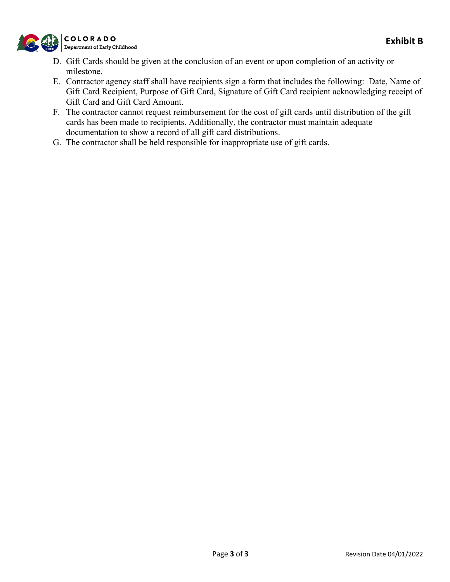

- D. Gift Cards should be given at the conclusion of an event or upon completion of an activity or milestone.
- E. Contractor agency staff shall have recipients sign a form that includes the following: Date, Name of Gift Card Recipient, Purpose of Gift Card, Signature of Gift Card recipient acknowledging receipt of Gift Card and Gift Card Amount.
- F. The contractor cannot request reimbursement for the cost of gift cards until distribution of the gift cards has been made to recipients. Additionally, the contractor must maintain adequate documentation to show a record of all gift card distributions.
- G. The contractor shall be held responsible for inappropriate use of gift cards.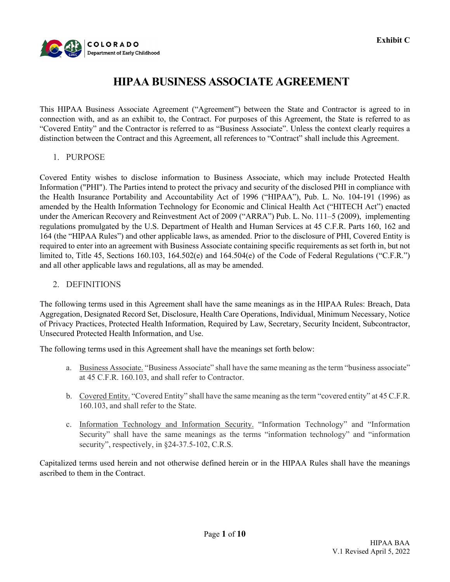

# **HIPAA BUSINESS ASSOCIATE AGREEMENT**

This HIPAA Business Associate Agreement ("Agreement") between the State and Contractor is agreed to in connection with, and as an exhibit to, the Contract. For purposes of this Agreement, the State is referred to as "Covered Entity" and the Contractor is referred to as "Business Associate". Unless the context clearly requires a distinction between the Contract and this Agreement, all references to "Contract" shall include this Agreement.

1. PURPOSE

Covered Entity wishes to disclose information to Business Associate, which may include Protected Health Information ("PHI"). The Parties intend to protect the privacy and security of the disclosed PHI in compliance with the Health Insurance Portability and Accountability Act of 1996 ("HIPAA"), Pub. L. No. 104-191 (1996) as amended by the Health Information Technology for Economic and Clinical Health Act ("HITECH Act") enacted under the American Recovery and Reinvestment Act of 2009 ("ARRA") Pub. L. No. 111–5 (2009), implementing regulations promulgated by the U.S. Department of Health and Human Services at 45 C.F.R. Parts 160, 162 and 164 (the "HIPAA Rules") and other applicable laws, as amended. Prior to the disclosure of PHI, Covered Entity is required to enter into an agreement with Business Associate containing specific requirements as set forth in, but not limited to, Title 45, Sections 160.103, 164.502(e) and 164.504(e) of the Code of Federal Regulations ("C.F.R.") and all other applicable laws and regulations, all as may be amended.

2. DEFINITIONS

The following terms used in this Agreement shall have the same meanings as in the HIPAA Rules: Breach, Data Aggregation, Designated Record Set, Disclosure, Health Care Operations, Individual, Minimum Necessary, Notice of Privacy Practices, Protected Health Information, Required by Law, Secretary, Security Incident, Subcontractor, Unsecured Protected Health Information, and Use.

The following terms used in this Agreement shall have the meanings set forth below:

- a. Business Associate. "Business Associate" shall have the same meaning as the term "business associate" at 45 C.F.R. 160.103, and shall refer to Contractor.
- b. Covered Entity. "Covered Entity" shall have the same meaning as the term "covered entity" at 45 C.F.R. 160.103, and shall refer to the State.
- c. Information Technology and Information Security. "Information Technology" and "Information Security" shall have the same meanings as the terms "information technology" and "information security", respectively, in  $§24-37.5-102$ , C.R.S.

Capitalized terms used herein and not otherwise defined herein or in the HIPAA Rules shall have the meanings ascribed to them in the Contract.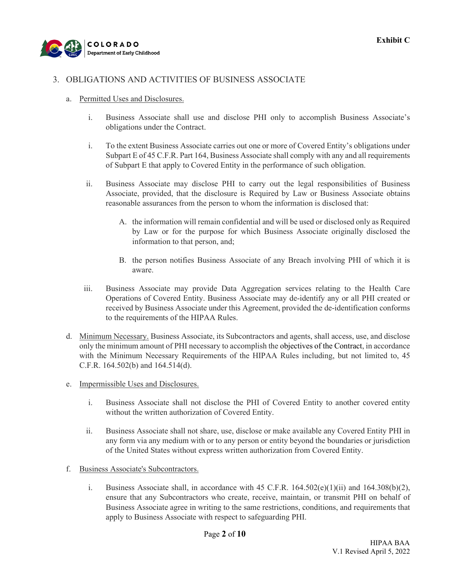

#### 3. OBLIGATIONS AND ACTIVITIES OF BUSINESS ASSOCIATE

- a. Permitted Uses and Disclosures.
	- i. Business Associate shall use and disclose PHI only to accomplish Business Associate's obligations under the Contract.
	- i. To the extent Business Associate carries out one or more of Covered Entity's obligations under Subpart E of 45 C.F.R. Part 164, Business Associate shall comply with any and all requirements of Subpart E that apply to Covered Entity in the performance of such obligation.
	- ii. Business Associate may disclose PHI to carry out the legal responsibilities of Business Associate, provided, that the disclosure is Required by Law or Business Associate obtains reasonable assurances from the person to whom the information is disclosed that:
		- A. the information will remain confidential and will be used or disclosed only as Required by Law or for the purpose for which Business Associate originally disclosed the information to that person, and;
		- B. the person notifies Business Associate of any Breach involving PHI of which it is aware.
	- iii. Business Associate may provide Data Aggregation services relating to the Health Care Operations of Covered Entity. Business Associate may de-identify any or all PHI created or received by Business Associate under this Agreement, provided the de-identification conforms to the requirements of the HIPAA Rules.
- d. Minimum Necessary. Business Associate, its Subcontractors and agents, shall access, use, and disclose only the minimum amount of PHI necessary to accomplish the objectives of the Contract, in accordance with the Minimum Necessary Requirements of the HIPAA Rules including, but not limited to, 45 C.F.R. 164.502(b) and 164.514(d).
- e. Impermissible Uses and Disclosures.
	- i. Business Associate shall not disclose the PHI of Covered Entity to another covered entity without the written authorization of Covered Entity.
	- ii. Business Associate shall not share, use, disclose or make available any Covered Entity PHI in any form via any medium with or to any person or entity beyond the boundaries or jurisdiction of the United States without express written authorization from Covered Entity.
- f. Business Associate's Subcontractors.
	- i. Business Associate shall, in accordance with  $45$  C.F.R.  $164.502(e)(1)(ii)$  and  $164.308(b)(2)$ , ensure that any Subcontractors who create, receive, maintain, or transmit PHI on behalf of Business Associate agree in writing to the same restrictions, conditions, and requirements that apply to Business Associate with respect to safeguarding PHI.

Page **2** of **10**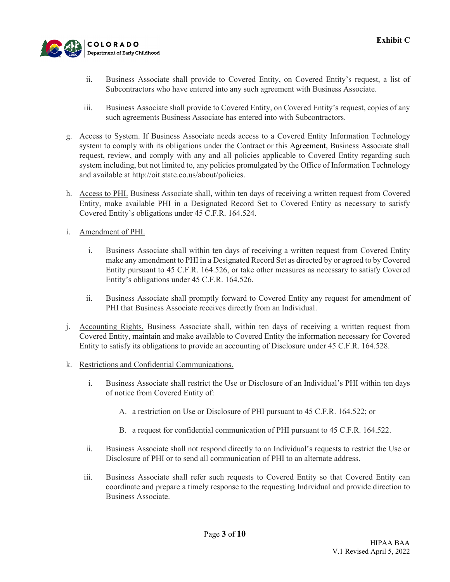

- ii. Business Associate shall provide to Covered Entity, on Covered Entity's request, a list of Subcontractors who have entered into any such agreement with Business Associate.
- iii. Business Associate shall provide to Covered Entity, on Covered Entity's request, copies of any such agreements Business Associate has entered into with Subcontractors.
- g. Access to System. If Business Associate needs access to a Covered Entity Information Technology system to comply with its obligations under the Contract or this Agreement, Business Associate shall request, review, and comply with any and all policies applicable to Covered Entity regarding such system including, but not limited to, any policies promulgated by the Office of Information Technology and available at http://oit.state.co.us/about/policies.
- h. Access to PHI. Business Associate shall, within ten days of receiving a written request from Covered Entity, make available PHI in a Designated Record Set to Covered Entity as necessary to satisfy Covered Entity's obligations under 45 C.F.R. 164.524.
- i. Amendment of PHI.
	- i. Business Associate shall within ten days of receiving a written request from Covered Entity make any amendment to PHI in a Designated Record Set as directed by or agreed to by Covered Entity pursuant to 45 C.F.R. 164.526, or take other measures as necessary to satisfy Covered Entity's obligations under 45 C.F.R. 164.526.
	- ii. Business Associate shall promptly forward to Covered Entity any request for amendment of PHI that Business Associate receives directly from an Individual.
- j. Accounting Rights. Business Associate shall, within ten days of receiving a written request from Covered Entity, maintain and make available to Covered Entity the information necessary for Covered Entity to satisfy its obligations to provide an accounting of Disclosure under 45 C.F.R. 164.528.
- k. Restrictions and Confidential Communications.
	- i. Business Associate shall restrict the Use or Disclosure of an Individual's PHI within ten days of notice from Covered Entity of:
		- A. a restriction on Use or Disclosure of PHI pursuant to 45 C.F.R. 164.522; or
		- B. a request for confidential communication of PHI pursuant to 45 C.F.R. 164.522.
	- ii. Business Associate shall not respond directly to an Individual's requests to restrict the Use or Disclosure of PHI or to send all communication of PHI to an alternate address.
	- iii. Business Associate shall refer such requests to Covered Entity so that Covered Entity can coordinate and prepare a timely response to the requesting Individual and provide direction to Business Associate.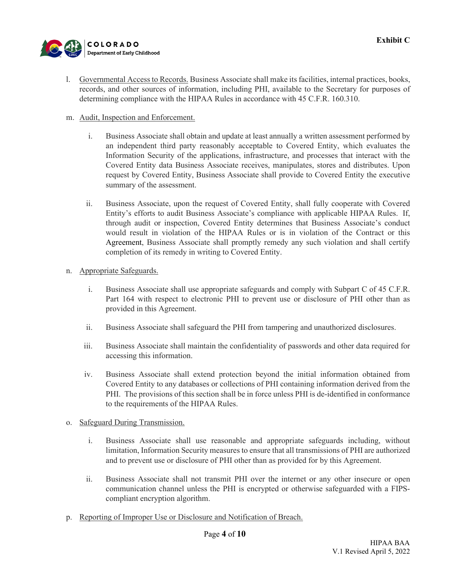

**Exhibit C** 

- l. Governmental Access to Records. Business Associate shall make its facilities, internal practices, books, records, and other sources of information, including PHI, available to the Secretary for purposes of determining compliance with the HIPAA Rules in accordance with 45 C.F.R. 160.310.
- m. Audit, Inspection and Enforcement.
	- i. Business Associate shall obtain and update at least annually a written assessment performed by an independent third party reasonably acceptable to Covered Entity, which evaluates the Information Security of the applications, infrastructure, and processes that interact with the Covered Entity data Business Associate receives, manipulates, stores and distributes. Upon request by Covered Entity, Business Associate shall provide to Covered Entity the executive summary of the assessment.
	- ii. Business Associate, upon the request of Covered Entity, shall fully cooperate with Covered Entity's efforts to audit Business Associate's compliance with applicable HIPAA Rules. If, through audit or inspection, Covered Entity determines that Business Associate's conduct would result in violation of the HIPAA Rules or is in violation of the Contract or this Agreement, Business Associate shall promptly remedy any such violation and shall certify completion of its remedy in writing to Covered Entity.
- n. Appropriate Safeguards.
	- i. Business Associate shall use appropriate safeguards and comply with Subpart C of 45 C.F.R. Part 164 with respect to electronic PHI to prevent use or disclosure of PHI other than as provided in this Agreement.
	- ii. Business Associate shall safeguard the PHI from tampering and unauthorized disclosures.
	- iii. Business Associate shall maintain the confidentiality of passwords and other data required for accessing this information.
	- iv. Business Associate shall extend protection beyond the initial information obtained from Covered Entity to any databases or collections of PHI containing information derived from the PHI. The provisions of this section shall be in force unless PHI is de-identified in conformance to the requirements of the HIPAA Rules.
- o. Safeguard During Transmission.
	- i. Business Associate shall use reasonable and appropriate safeguards including, without limitation, Information Security measures to ensure that all transmissions of PHI are authorized and to prevent use or disclosure of PHI other than as provided for by this Agreement.
	- ii. Business Associate shall not transmit PHI over the internet or any other insecure or open communication channel unless the PHI is encrypted or otherwise safeguarded with a FIPScompliant encryption algorithm.
- p. Reporting of Improper Use or Disclosure and Notification of Breach.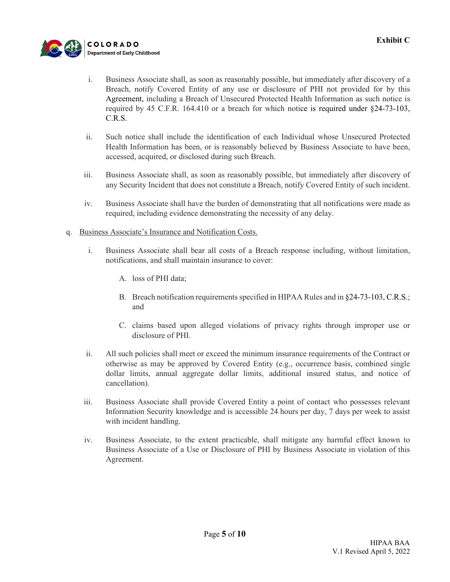

- i. Business Associate shall, as soon as reasonably possible, but immediately after discovery of a Breach, notify Covered Entity of any use or disclosure of PHI not provided for by this Agreement, including a Breach of Unsecured Protected Health Information as such notice is required by 45 C.F.R. 164.410 or a breach for which notice is required under §24-73-103, C.R.S.
- ii. Such notice shall include the identification of each Individual whose Unsecured Protected Health Information has been, or is reasonably believed by Business Associate to have been, accessed, acquired, or disclosed during such Breach.
- iii. Business Associate shall, as soon as reasonably possible, but immediately after discovery of any Security Incident that does not constitute a Breach, notify Covered Entity of such incident.
- iv. Business Associate shall have the burden of demonstrating that all notifications were made as required, including evidence demonstrating the necessity of any delay.
- q. Business Associate's Insurance and Notification Costs.
	- i. Business Associate shall bear all costs of a Breach response including, without limitation, notifications, and shall maintain insurance to cover:
		- A. loss of PHI data;
		- B. Breach notification requirements specified in HIPAA Rules and in §24-73-103, C.R.S.; and
		- C. claims based upon alleged violations of privacy rights through improper use or disclosure of PHI.
	- ii. All such policies shall meet or exceed the minimum insurance requirements of the Contract or otherwise as may be approved by Covered Entity (e.g., occurrence basis, combined single dollar limits, annual aggregate dollar limits, additional insured status, and notice of cancellation).
	- iii. Business Associate shall provide Covered Entity a point of contact who possesses relevant Information Security knowledge and is accessible 24 hours per day, 7 days per week to assist with incident handling.
	- iv. Business Associate, to the extent practicable, shall mitigate any harmful effect known to Business Associate of a Use or Disclosure of PHI by Business Associate in violation of this Agreement.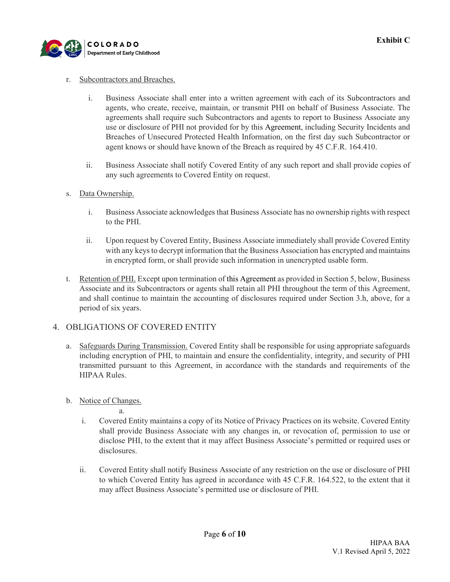

#### r. Subcontractors and Breaches.

- i. Business Associate shall enter into a written agreement with each of its Subcontractors and agents, who create, receive, maintain, or transmit PHI on behalf of Business Associate. The agreements shall require such Subcontractors and agents to report to Business Associate any use or disclosure of PHI not provided for by this Agreement, including Security Incidents and Breaches of Unsecured Protected Health Information, on the first day such Subcontractor or agent knows or should have known of the Breach as required by 45 C.F.R. 164.410.
- ii. Business Associate shall notify Covered Entity of any such report and shall provide copies of any such agreements to Covered Entity on request.
- s. Data Ownership.
	- i. Business Associate acknowledges that Business Associate has no ownership rights with respect to the PHI.
	- ii. Upon request by Covered Entity, Business Associate immediately shall provide Covered Entity with any keys to decrypt information that the Business Association has encrypted and maintains in encrypted form, or shall provide such information in unencrypted usable form.
- t. Retention of PHI. Except upon termination of this Agreement as provided in Section 5, below, Business Associate and its Subcontractors or agents shall retain all PHI throughout the term of this Agreement, and shall continue to maintain the accounting of disclosures required under Section 3.h, above, for a period of six years.

#### 4. OBLIGATIONS OF COVERED ENTITY

- a. Safeguards During Transmission. Covered Entity shall be responsible for using appropriate safeguards including encryption of PHI, to maintain and ensure the confidentiality, integrity, and security of PHI transmitted pursuant to this Agreement, in accordance with the standards and requirements of the HIPAA Rules.
- b. Notice of Changes.
	- a. i. Covered Entity maintains a copy of its Notice of Privacy Practices on its website. Covered Entity shall provide Business Associate with any changes in, or revocation of, permission to use or disclose PHI, to the extent that it may affect Business Associate's permitted or required uses or disclosures.
	- ii. Covered Entity shall notify Business Associate of any restriction on the use or disclosure of PHI to which Covered Entity has agreed in accordance with 45 C.F.R. 164.522, to the extent that it may affect Business Associate's permitted use or disclosure of PHI.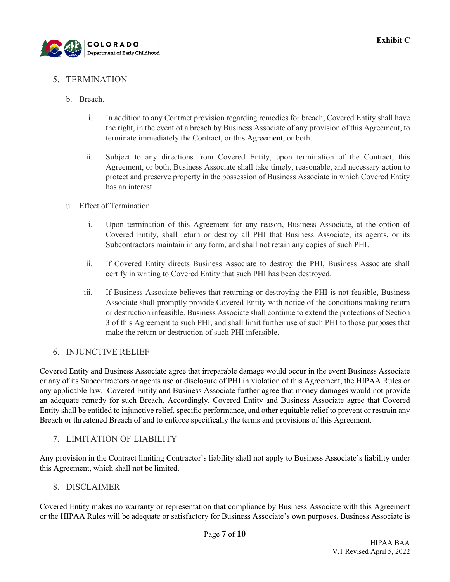

#### 5. TERMINATION

#### b. Breach.

- i. In addition to any Contract provision regarding remedies for breach, Covered Entity shall have the right, in the event of a breach by Business Associate of any provision of this Agreement, to terminate immediately the Contract, or this Agreement, or both.
- ii. Subject to any directions from Covered Entity, upon termination of the Contract, this Agreement, or both, Business Associate shall take timely, reasonable, and necessary action to protect and preserve property in the possession of Business Associate in which Covered Entity has an interest.

#### u. Effect of Termination.

- i. Upon termination of this Agreement for any reason, Business Associate, at the option of Covered Entity, shall return or destroy all PHI that Business Associate, its agents, or its Subcontractors maintain in any form, and shall not retain any copies of such PHI.
- ii. If Covered Entity directs Business Associate to destroy the PHI, Business Associate shall certify in writing to Covered Entity that such PHI has been destroyed.
- iii. If Business Associate believes that returning or destroying the PHI is not feasible, Business Associate shall promptly provide Covered Entity with notice of the conditions making return or destruction infeasible. Business Associate shall continue to extend the protections of Section 3 of this Agreement to such PHI, and shall limit further use of such PHI to those purposes that make the return or destruction of such PHI infeasible.

#### 6. INJUNCTIVE RELIEF

Covered Entity and Business Associate agree that irreparable damage would occur in the event Business Associate or any of its Subcontractors or agents use or disclosure of PHI in violation of this Agreement, the HIPAA Rules or any applicable law. Covered Entity and Business Associate further agree that money damages would not provide an adequate remedy for such Breach. Accordingly, Covered Entity and Business Associate agree that Covered Entity shall be entitled to injunctive relief, specific performance, and other equitable relief to prevent or restrain any Breach or threatened Breach of and to enforce specifically the terms and provisions of this Agreement.

#### 7. LIMITATION OF LIABILITY

Any provision in the Contract limiting Contractor's liability shall not apply to Business Associate's liability under this Agreement, which shall not be limited.

#### 8. DISCLAIMER

Covered Entity makes no warranty or representation that compliance by Business Associate with this Agreement or the HIPAA Rules will be adequate or satisfactory for Business Associate's own purposes. Business Associate is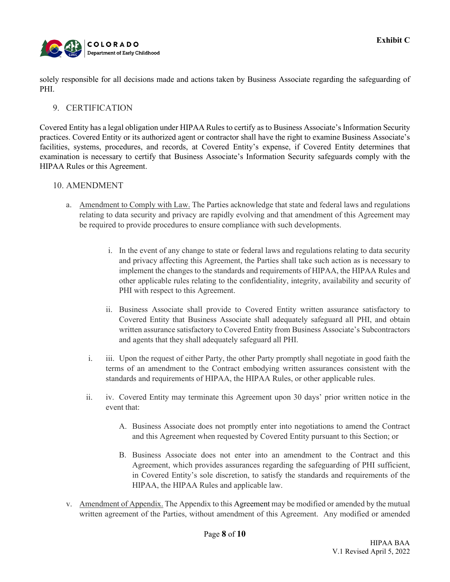

solely responsible for all decisions made and actions taken by Business Associate regarding the safeguarding of PHI.

#### 9. CERTIFICATION

Covered Entity has a legal obligation under HIPAA Rules to certify as to Business Associate's Information Security practices. Covered Entity or its authorized agent or contractor shall have the right to examine Business Associate's facilities, systems, procedures, and records, at Covered Entity's expense, if Covered Entity determines that examination is necessary to certify that Business Associate's Information Security safeguards comply with the HIPAA Rules or this Agreement.

#### 10. AMENDMENT

- a. Amendment to Comply with Law. The Parties acknowledge that state and federal laws and regulations relating to data security and privacy are rapidly evolving and that amendment of this Agreement may be required to provide procedures to ensure compliance with such developments.
	- i. In the event of any change to state or federal laws and regulations relating to data security and privacy affecting this Agreement, the Parties shall take such action as is necessary to implement the changes to the standards and requirements of HIPAA, the HIPAA Rules and other applicable rules relating to the confidentiality, integrity, availability and security of PHI with respect to this Agreement.
	- ii. Business Associate shall provide to Covered Entity written assurance satisfactory to Covered Entity that Business Associate shall adequately safeguard all PHI, and obtain written assurance satisfactory to Covered Entity from Business Associate's Subcontractors and agents that they shall adequately safeguard all PHI.
	- i. iii. Upon the request of either Party, the other Party promptly shall negotiate in good faith the terms of an amendment to the Contract embodying written assurances consistent with the standards and requirements of HIPAA, the HIPAA Rules, or other applicable rules.
	- ii. iv. Covered Entity may terminate this Agreement upon 30 days' prior written notice in the event that:
		- A. Business Associate does not promptly enter into negotiations to amend the Contract and this Agreement when requested by Covered Entity pursuant to this Section; or
		- B. Business Associate does not enter into an amendment to the Contract and this Agreement, which provides assurances regarding the safeguarding of PHI sufficient, in Covered Entity's sole discretion, to satisfy the standards and requirements of the HIPAA, the HIPAA Rules and applicable law.
- v. Amendment of Appendix. The Appendix to this Agreement may be modified or amended by the mutual written agreement of the Parties, without amendment of this Agreement. Any modified or amended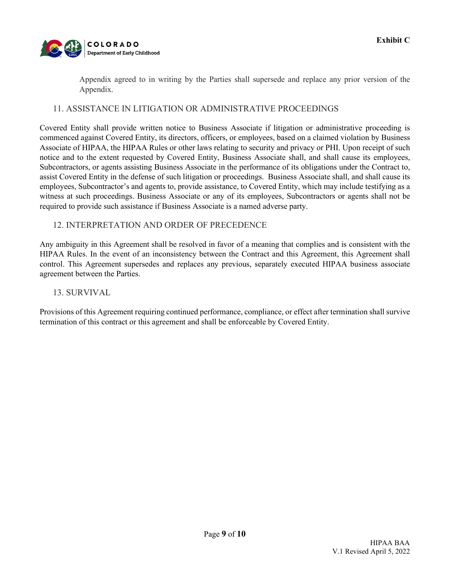

Appendix agreed to in writing by the Parties shall supersede and replace any prior version of the Appendix.

#### 11. ASSISTANCE IN LITIGATION OR ADMINISTRATIVE PROCEEDINGS

Covered Entity shall provide written notice to Business Associate if litigation or administrative proceeding is commenced against Covered Entity, its directors, officers, or employees, based on a claimed violation by Business Associate of HIPAA, the HIPAA Rules or other laws relating to security and privacy or PHI. Upon receipt of such notice and to the extent requested by Covered Entity, Business Associate shall, and shall cause its employees, Subcontractors, or agents assisting Business Associate in the performance of its obligations under the Contract to, assist Covered Entity in the defense of such litigation or proceedings. Business Associate shall, and shall cause its employees, Subcontractor's and agents to, provide assistance, to Covered Entity, which may include testifying as a witness at such proceedings. Business Associate or any of its employees, Subcontractors or agents shall not be required to provide such assistance if Business Associate is a named adverse party.

#### 12. INTERPRETATION AND ORDER OF PRECEDENCE

Any ambiguity in this Agreement shall be resolved in favor of a meaning that complies and is consistent with the HIPAA Rules. In the event of an inconsistency between the Contract and this Agreement, this Agreement shall control. This Agreement supersedes and replaces any previous, separately executed HIPAA business associate agreement between the Parties.

#### 13. SURVIVAL

Provisions of this Agreement requiring continued performance, compliance, or effect after termination shall survive termination of this contract or this agreement and shall be enforceable by Covered Entity.